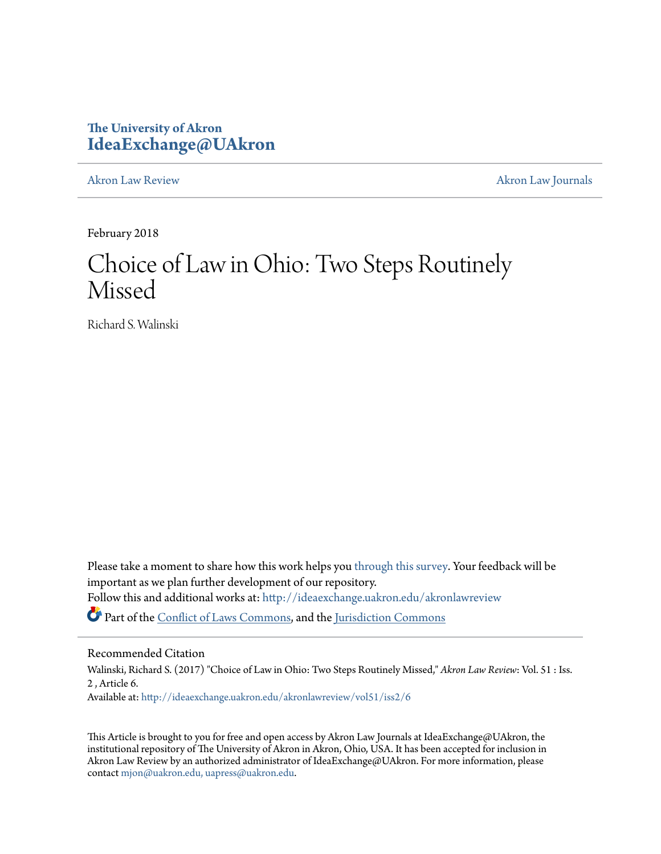# **The University of Akron [IdeaExchange@UAkron](http://ideaexchange.uakron.edu?utm_source=ideaexchange.uakron.edu%2Fakronlawreview%2Fvol51%2Fiss2%2F6&utm_medium=PDF&utm_campaign=PDFCoverPages)**

[Akron Law Review](http://ideaexchange.uakron.edu/akronlawreview?utm_source=ideaexchange.uakron.edu%2Fakronlawreview%2Fvol51%2Fiss2%2F6&utm_medium=PDF&utm_campaign=PDFCoverPages) [Akron Law Journals](http://ideaexchange.uakron.edu/akronlawjournals?utm_source=ideaexchange.uakron.edu%2Fakronlawreview%2Fvol51%2Fiss2%2F6&utm_medium=PDF&utm_campaign=PDFCoverPages)

February 2018

# Choice of Law in Ohio: Two Steps Routinely Missed

Richard S. Walinski

Please take a moment to share how this work helps you [through this survey.](http://survey.az1.qualtrics.com/SE/?SID=SV_eEVH54oiCbOw05f&URL=http://ideaexchange.uakron.edu/akronlawreview/vol51/iss2/6) Your feedback will be important as we plan further development of our repository. Follow this and additional works at: [http://ideaexchange.uakron.edu/akronlawreview](http://ideaexchange.uakron.edu/akronlawreview?utm_source=ideaexchange.uakron.edu%2Fakronlawreview%2Fvol51%2Fiss2%2F6&utm_medium=PDF&utm_campaign=PDFCoverPages) Part of the [Conflict of Laws Commons,](http://network.bepress.com/hgg/discipline/588?utm_source=ideaexchange.uakron.edu%2Fakronlawreview%2Fvol51%2Fiss2%2F6&utm_medium=PDF&utm_campaign=PDFCoverPages) and the [Jurisdiction Commons](http://network.bepress.com/hgg/discipline/850?utm_source=ideaexchange.uakron.edu%2Fakronlawreview%2Fvol51%2Fiss2%2F6&utm_medium=PDF&utm_campaign=PDFCoverPages)

# Recommended Citation

Walinski, Richard S. (2017) "Choice of Law in Ohio: Two Steps Routinely Missed," *Akron Law Review*: Vol. 51 : Iss. 2 , Article 6. Available at: [http://ideaexchange.uakron.edu/akronlawreview/vol51/iss2/6](http://ideaexchange.uakron.edu/akronlawreview/vol51/iss2/6?utm_source=ideaexchange.uakron.edu%2Fakronlawreview%2Fvol51%2Fiss2%2F6&utm_medium=PDF&utm_campaign=PDFCoverPages)

This Article is brought to you for free and open access by Akron Law Journals at IdeaExchange@UAkron, the institutional repository of The University of Akron in Akron, Ohio, USA. It has been accepted for inclusion in Akron Law Review by an authorized administrator of IdeaExchange@UAkron. For more information, please contact [mjon@uakron.edu, uapress@uakron.edu.](mailto:mjon@uakron.edu,%20uapress@uakron.edu)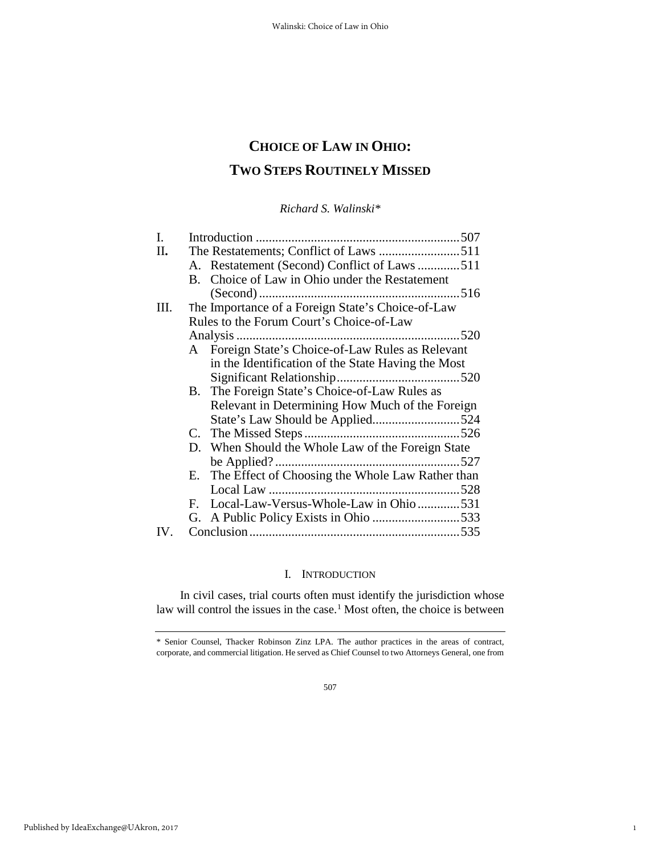# **CHOICE OF LAW IN OHIO: TWO STEPS ROUTINELY MISSED**

*Richard S. Walinski\** 

| I.  |                                          |                                                     |     |
|-----|------------------------------------------|-----------------------------------------------------|-----|
| Π.  |                                          |                                                     |     |
|     |                                          | A. Restatement (Second) Conflict of Laws 511        |     |
|     | B.                                       | Choice of Law in Ohio under the Restatement         |     |
|     |                                          |                                                     |     |
| Ш.  |                                          | The Importance of a Foreign State's Choice-of-Law   |     |
|     | Rules to the Forum Court's Choice-of-Law |                                                     |     |
|     |                                          |                                                     |     |
|     |                                          | A Foreign State's Choice-of-Law Rules as Relevant   |     |
|     |                                          | in the Identification of the State Having the Most  |     |
|     |                                          |                                                     |     |
|     |                                          | B. The Foreign State's Choice-of-Law Rules as       |     |
|     |                                          | Relevant in Determining How Much of the Foreign     |     |
|     |                                          |                                                     |     |
|     |                                          |                                                     |     |
|     |                                          | D. When Should the Whole Law of the Foreign State   |     |
|     |                                          |                                                     |     |
|     |                                          | E. The Effect of Choosing the Whole Law Rather than |     |
|     |                                          |                                                     | 528 |
|     |                                          | F. Local-Law-Versus-Whole-Law in Ohio531            |     |
|     |                                          |                                                     |     |
| IV. |                                          |                                                     |     |

#### I. INTRODUCTION

In civil cases, trial courts often must identify the jurisdiction whose law will control the issues in the case.<sup>[1](#page-1-0)</sup> Most often, the choice is between

1

<span id="page-1-0"></span><sup>\*</sup> Senior Counsel, Thacker Robinson Zinz LPA. The author practices in the areas of contract, corporate, and commercial litigation. He served as Chief Counsel to two Attorneys General, one from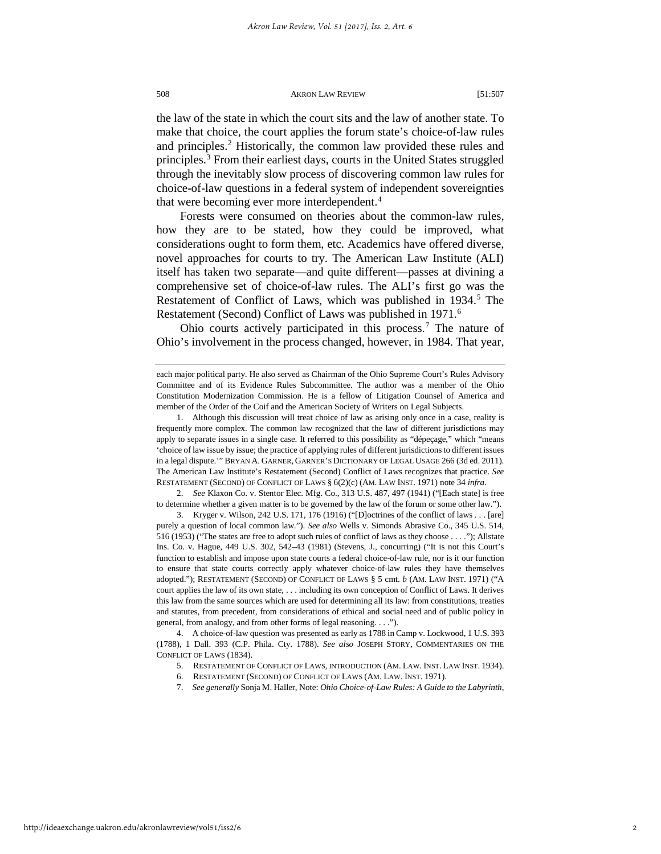the law of the state in which the court sits and the law of another state. To make that choice, the court applies the forum state's choice-of-law rules and principles.<sup>[2](#page-2-0)</sup> Historically, the common law provided these rules and principles.[3](#page-2-1) From their earliest days, courts in the United States struggled through the inevitably slow process of discovering common law rules for choice-of-law questions in a federal system of independent sovereignties that were becoming ever more interdependent.[4](#page-2-2)

Forests were consumed on theories about the common-law rules, how they are to be stated, how they could be improved, what considerations ought to form them, etc. Academics have offered diverse, novel approaches for courts to try. The American Law Institute (ALI) itself has taken two separate—and quite different—passes at divining a comprehensive set of choice-of-law rules. The ALI's first go was the Restatement of Conflict of Laws, which was published in 1934.<sup>[5](#page-2-3)</sup> The Restatement (Second) Conflict of Laws was published in 1971.<sup>[6](#page-2-4)</sup>

Ohio courts actively participated in this process.[7](#page-2-5) The nature of Ohio's involvement in the process changed, however, in 1984. That year,

<span id="page-2-0"></span>2. *See* Klaxon Co. v. Stentor Elec. Mfg. Co., 313 U.S. 487, 497 (1941) ("[Each state] is free to determine whether a given matter is to be governed by the law of the forum or some other law.").

<span id="page-2-1"></span>3. Kryger v. Wilson, 242 U.S. 171, 176 (1916) ("[D]octrines of the conflict of laws . . . [are] purely a question of local common law."). *See also* Wells v. Simonds Abrasive Co., 345 U.S. 514, 516 (1953) ("The states are free to adopt such rules of conflict of laws as they choose . . . ."); Allstate Ins. Co. v. Hague, 449 U.S. 302, 542–43 (1981) (Stevens, J., concurring) ("It is not this Court's function to establish and impose upon state courts a federal choice-of-law rule, nor is it our function to ensure that state courts correctly apply whatever choice-of-law rules they have themselves adopted."); RESTATEMENT (SECOND) OF CONFLICT OF LAWS § 5 cmt. *b* (AM. LAW INST. 1971) ("A court applies the law of its own state, . . . including its own conception of Conflict of Laws. It derives this law from the same sources which are used for determining all its law: from constitutions, treaties and statutes, from precedent, from considerations of ethical and social need and of public policy in general, from analogy, and from other forms of legal reasoning. . . .").

<span id="page-2-5"></span><span id="page-2-4"></span><span id="page-2-3"></span><span id="page-2-2"></span>4. A choice-of-law question was presented as early as 1788 in Camp v. Lockwood, 1 U.S. 393 (1788), 1 Dall. 393 (C.P. Phila. Cty. 1788). *See also* JOSEPH STORY, COMMENTARIES ON THE CONFLICT OF LAWS (1834).

- 5. RESTATEMENT OF CONFLICT OF LAWS, INTRODUCTION (AM. LAW. INST. LAW INST. 1934).
- 6. RESTATEMENT (SECOND) OF CONFLICT OF LAWS (AM. LAW. INST. 1971).
- 7. *See generally* Sonja M. Haller, Note: *Ohio Choice-of-Law Rules: A Guide to the Labyrinth*,

each major political party. He also served as Chairman of the Ohio Supreme Court's Rules Advisory Committee and of its Evidence Rules Subcommittee. The author was a member of the Ohio Constitution Modernization Commission. He is a fellow of Litigation Counsel of America and member of the Order of the Coif and the American Society of Writers on Legal Subjects.

<sup>1.</sup> Although this discussion will treat choice of law as arising only once in a case, reality is frequently more complex. The common law recognized that the law of different jurisdictions may apply to separate issues in a single case. It referred to this possibility as "dépeçage," which "means 'choice of law issue by issue; the practice of applying rules of different jurisdictions to different issues in a legal dispute.'" BRYAN A. GARNER, GARNER'S DICTIONARY OF LEGAL USAGE 266 (3d ed. 2011). The American Law Institute's Restatement (Second) Conflict of Laws recognizes that practice. *See*  RESTATEMENT (SECOND) OF CONFLICT OF LAWS § 6(2)(c) (AM. LAW INST. 1971) note 34 *infra*.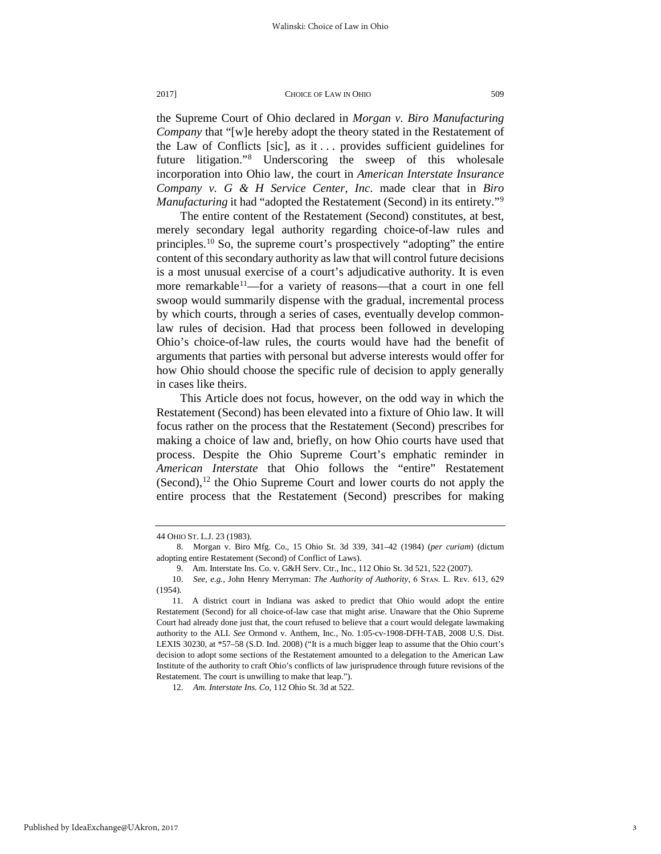the Supreme Court of Ohio declared in *Morgan v. Biro Manufacturing Company* that "[w]e hereby adopt the theory stated in the Restatement of the Law of Conflicts [sic], as it . . . provides sufficient guidelines for future litigation."[8](#page-3-0) Underscoring the sweep of this wholesale incorporation into Ohio law, the court in *American Interstate Insurance Company v. G & H Service Center, Inc*. made clear that in *Biro Manufacturing* it had "adopted the Restatement (Second) in its entirety."<sup>[9](#page-3-1)</sup>

The entire content of the Restatement (Second) constitutes, at best, merely secondary legal authority regarding choice-of-law rules and principles.[10](#page-3-2) So, the supreme court's prospectively "adopting" the entire content of this secondary authority as law that will control future decisions is a most unusual exercise of a court's adjudicative authority. It is even more remarkable<sup>[11](#page-3-3)</sup>—for a variety of reasons—that a court in one fell swoop would summarily dispense with the gradual, incremental process by which courts, through a series of cases, eventually develop commonlaw rules of decision. Had that process been followed in developing Ohio's choice-of-law rules, the courts would have had the benefit of arguments that parties with personal but adverse interests would offer for how Ohio should choose the specific rule of decision to apply generally in cases like theirs.

This Article does not focus, however, on the odd way in which the Restatement (Second) has been elevated into a fixture of Ohio law. It will focus rather on the process that the Restatement (Second) prescribes for making a choice of law and, briefly, on how Ohio courts have used that process. Despite the Ohio Supreme Court's emphatic reminder in *American Interstate* that Ohio follows the "entire" Restatement  $(Second),<sup>12</sup>$  $(Second),<sup>12</sup>$  $(Second),<sup>12</sup>$  the Ohio Supreme Court and lower courts do not apply the entire process that the Restatement (Second) prescribes for making

<span id="page-3-4"></span>12. *Am. Interstate Ins. Co,* 112 Ohio St. 3d at 522.

<sup>44</sup> OHIO ST. L.J. 23 (1983).

<span id="page-3-0"></span><sup>8.</sup> Morgan v. Biro Mfg. Co., 15 Ohio St. 3d 339, 341–42 (1984) (*per curiam*) (dictum adopting entire Restatement (Second) of Conflict of Laws).

<sup>9.</sup> Am. Interstate Ins. Co. v. G&H Serv. Ctr., Inc*.*, 112 Ohio St. 3d 521, 522 (2007).

<span id="page-3-2"></span><span id="page-3-1"></span><sup>10.</sup> *See, e.g., John Henry Merryman: The Authority of Authority*, 6 STAN. L. REV. 613, 629 (1954).

<span id="page-3-3"></span><sup>11.</sup> A district court in Indiana was asked to predict that Ohio would adopt the entire Restatement (Second) for all choice-of-law case that might arise. Unaware that the Ohio Supreme Court had already done just that, the court refused to believe that a court would delegate lawmaking authority to the ALI. *See* Ormond v. Anthem, Inc*.*, No. 1:05-cv-1908-DFH-TAB, 2008 U.S. Dist. LEXIS 30230, at \*57–58 (S.D. Ind. 2008) ("It is a much bigger leap to assume that the Ohio court's decision to adopt some sections of the Restatement amounted to a delegation to the American Law Institute of the authority to craft Ohio's conflicts of law jurisprudence through future revisions of the Restatement. The court is unwilling to make that leap.").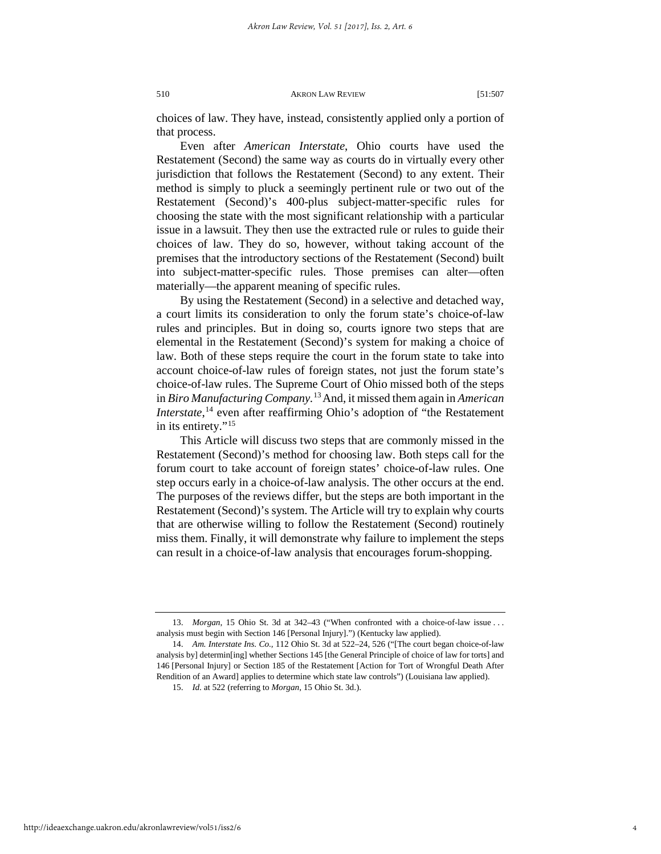choices of law. They have, instead, consistently applied only a portion of that process.

Even after *American Interstate*, Ohio courts have used the Restatement (Second) the same way as courts do in virtually every other jurisdiction that follows the Restatement (Second) to any extent. Their method is simply to pluck a seemingly pertinent rule or two out of the Restatement (Second)'s 400-plus subject-matter-specific rules for choosing the state with the most significant relationship with a particular issue in a lawsuit. They then use the extracted rule or rules to guide their choices of law. They do so, however, without taking account of the premises that the introductory sections of the Restatement (Second) built into subject-matter-specific rules. Those premises can alter—often materially—the apparent meaning of specific rules.

By using the Restatement (Second) in a selective and detached way, a court limits its consideration to only the forum state's choice-of-law rules and principles. But in doing so, courts ignore two steps that are elemental in the Restatement (Second)'s system for making a choice of law. Both of these steps require the court in the forum state to take into account choice-of-law rules of foreign states, not just the forum state's choice-of-law rules. The Supreme Court of Ohio missed both of the steps in *Biro Manufacturing Company.*[13](#page-4-0)And, it missed them again in *American Interstate*,<sup>[14](#page-4-1)</sup> even after reaffirming Ohio's adoption of "the Restatement in its entirety."<sup>[15](#page-4-2)</sup>

This Article will discuss two steps that are commonly missed in the Restatement (Second)'s method for choosing law. Both steps call for the forum court to take account of foreign states' choice-of-law rules. One step occurs early in a choice-of-law analysis. The other occurs at the end. The purposes of the reviews differ, but the steps are both important in the Restatement (Second)'s system. The Article will try to explain why courts that are otherwise willing to follow the Restatement (Second) routinely miss them. Finally, it will demonstrate why failure to implement the steps can result in a choice-of-law analysis that encourages forum-shopping.

<span id="page-4-0"></span><sup>13.</sup> *Morgan*, 15 Ohio St. 3d at 342–43 ("When confronted with a choice-of-law issue . . . analysis must begin with Section 146 [Personal Injury].") (Kentucky law applied).

<span id="page-4-2"></span><span id="page-4-1"></span><sup>14.</sup> *Am. Interstate Ins. Co.,* 112 Ohio St. 3d at 522–24, 526 ("[The court began choice-of-law analysis by] determin[ing] whether Sections 145 [the General Principle of choice of law for torts] and 146 [Personal Injury] or Section 185 of the Restatement [Action for Tort of Wrongful Death After Rendition of an Award] applies to determine which state law controls") (Louisiana law applied).

<sup>15.</sup> *Id.* at 522 (referring to *Morgan,* 15 Ohio St. 3d.).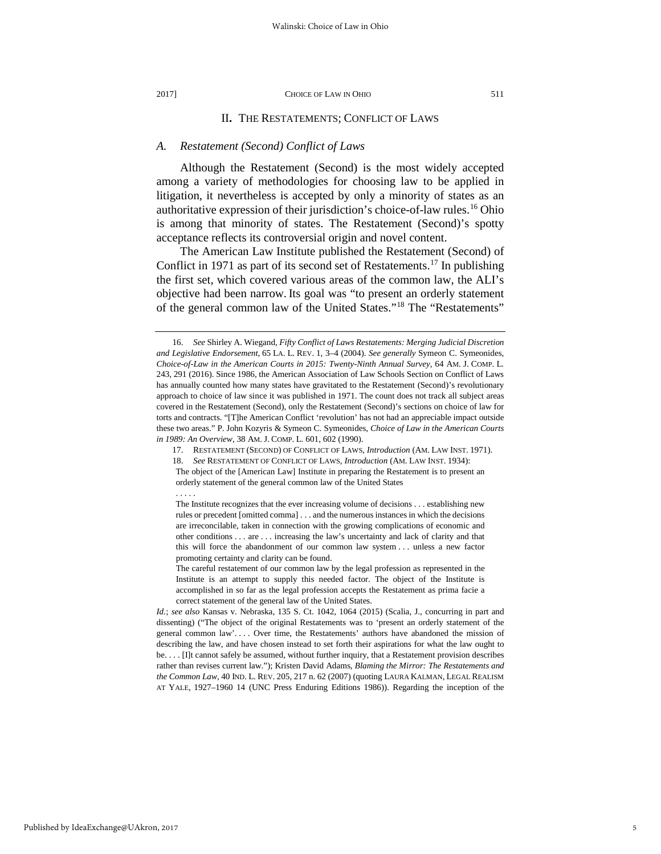#### II**.** THE RESTATEMENTS; CONFLICT OF LAWS

# *A. Restatement (Second) Conflict of Laws*

Although the Restatement (Second) is the most widely accepted among a variety of methodologies for choosing law to be applied in litigation, it nevertheless is accepted by only a minority of states as an authoritative expression of their jurisdiction's choice-of-law rules.[16](#page-5-0) Ohio is among that minority of states. The Restatement (Second)'s spotty acceptance reflects its controversial origin and novel content.

The American Law Institute published the Restatement (Second) of Conflict in 1971 as part of its second set of Restatements.<sup>17</sup> In publishing the first set, which covered various areas of the common law, the ALI's objective had been narrow. Its goal was "to present an orderly statement of the general common law of the United States."[18](#page-5-2) The "Restatements"

. . . . .

<span id="page-5-0"></span><sup>16.</sup> *See* Shirley A. Wiegand, *Fifty Conflict of Laws Restatements: Merging Judicial Discretion and Legislative Endorsement*, 65 LA. L. REV. 1, 3–4 (2004). *See generally* Symeon C. Symeonides, *Choice-of-Law in the American Courts in 2015: Twenty-Ninth Annual Survey*, 64 AM. J. COMP. L. 243, 291 (2016). Since 1986, the American Association of Law Schools Section on Conflict of Laws has annually counted how many states have gravitated to the Restatement (Second)'s revolutionary approach to choice of law since it was published in 1971. The count does not track all subject areas covered in the Restatement (Second), only the Restatement (Second)'s sections on choice of law for torts and contracts. "[T]he American Conflict 'revolution' has not had an appreciable impact outside these two areas." P. John Kozyris & Symeon C. Symeonides, *Choice of Law in the American Courts in 1989: An Overview*, 38 AM. J. COMP. L. 601, 602 (1990).

<sup>17.</sup> RESTATEMENT (SECOND) OF CONFLICT OF LAWS, *Introduction* (AM. LAW INST. 1971).

<span id="page-5-2"></span><span id="page-5-1"></span><sup>18.</sup> *See* RESTATEMENT OF CONFLICT OF LAWS, *Introduction* (AM. LAW INST. 1934):

The object of the [American Law] Institute in preparing the Restatement is to present an orderly statement of the general common law of the United States

The Institute recognizes that the ever increasing volume of decisions . . . establishing new rules or precedent [omitted comma] . . . and the numerous instances in which the decisions are irreconcilable, taken in connection with the growing complications of economic and other conditions . . . are . . . increasing the law's uncertainty and lack of clarity and that this will force the abandonment of our common law system . . . unless a new factor promoting certainty and clarity can be found.

The careful restatement of our common law by the legal profession as represented in the Institute is an attempt to supply this needed factor. The object of the Institute is accomplished in so far as the legal profession accepts the Restatement as prima facie a correct statement of the general law of the United States.

*Id.*; *see also* Kansas v. Nebraska, 135 S. Ct. 1042, 1064 (2015) (Scalia, J., concurring in part and dissenting) ("The object of the original Restatements was to 'present an orderly statement of the general common law'. . . . Over time, the Restatements' authors have abandoned the mission of describing the law, and have chosen instead to set forth their aspirations for what the law ought to be. . . . [I]t cannot safely be assumed, without further inquiry, that a Restatement provision describes rather than revises current law."); Kristen David Adams, *Blaming the Mirror: The Restatements and the Common Law*, 40 IND. L. REV. 205, 217 n. 62 (2007) (quoting LAURA KALMAN, LEGAL REALISM AT YALE, 1927–1960 14 (UNC Press Enduring Editions 1986)). Regarding the inception of the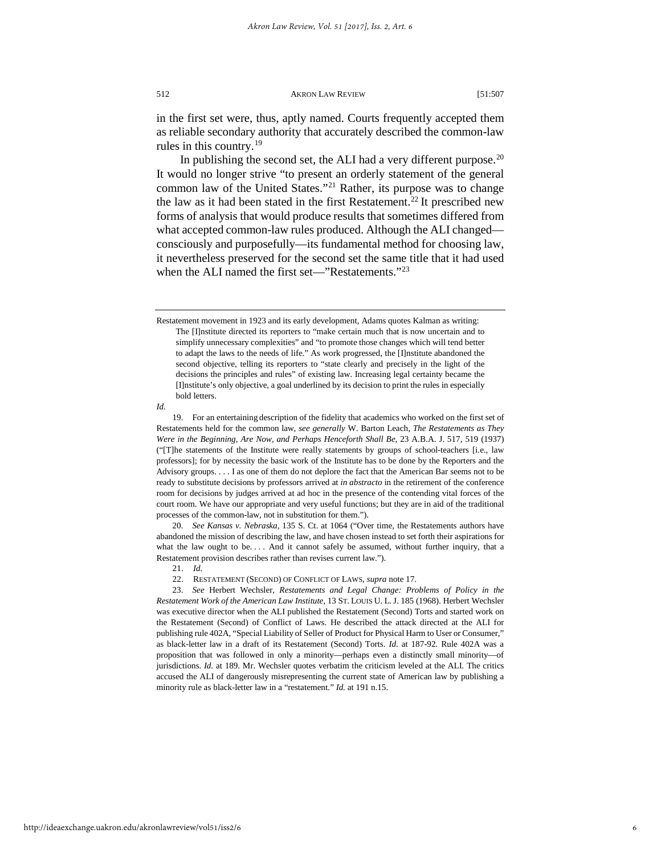in the first set were, thus, aptly named. Courts frequently accepted them as reliable secondary authority that accurately described the common-law rules in this country.<sup>[19](#page-6-0)</sup>

In publishing the second set, the ALI had a very different purpose. $20$ It would no longer strive "to present an orderly statement of the general common law of the United States."[21](#page-6-2) Rather, its purpose was to change the law as it had been stated in the first Restatement.<sup>[22](#page-6-3)</sup> It prescribed new forms of analysis that would produce results that sometimes differed from what accepted common-law rules produced. Although the ALI changed consciously and purposefully—its fundamental method for choosing law, it nevertheless preserved for the second set the same title that it had used when the ALI named the first set—"Restatements."<sup>23</sup>

<span id="page-6-0"></span>*Id.*

<span id="page-6-1"></span>20. *See Kansas v. Nebraska,* 135 S. Ct. at 1064 ("Over time, the Restatements authors have abandoned the mission of describing the law, and have chosen instead to set forth their aspirations for what the law ought to be.... And it cannot safely be assumed, without further inquiry, that a Restatement provision describes rather than revises current law.").

- 21. *Id.*
- 22. RESTATEMENT (SECOND) OF CONFLICT OF LAWS, *supra* note 17.

<span id="page-6-4"></span><span id="page-6-3"></span><span id="page-6-2"></span>23. *See* Herbert Wechsler*, Restatements and Legal Change: Problems of Policy in the Restatement Work of the American Law Institute*, 13 ST. LOUIS U. L. J. 185 (1968). Herbert Wechsler was executive director when the ALI published the Restatement (Second) Torts and started work on the Restatement (Second) of Conflict of Laws. He described the attack directed at the ALI for publishing rule 402A, "Special Liability of Seller of Product for Physical Harm to User or Consumer," as black-letter law in a draft of its Restatement (Second) Torts. *Id*. at 187-92*.* Rule 402A was a proposition that was followed in only a minority—perhaps even a distinctly small minority—of jurisdictions. *Id.* at 189. Mr. Wechsler quotes verbatim the criticism leveled at the ALI. The critics accused the ALI of dangerously misrepresenting the current state of American law by publishing a minority rule as black-letter law in a "restatement." *Id.* at 191 n.15.

Restatement movement in 1923 and its early development, Adams quotes Kalman as writing: The [I]nstitute directed its reporters to "make certain much that is now uncertain and to simplify unnecessary complexities" and "to promote those changes which will tend better to adapt the laws to the needs of life." As work progressed, the [I]nstitute abandoned the second objective, telling its reporters to "state clearly and precisely in the light of the decisions the principles and rules" of existing law. Increasing legal certainty became the [I]nstitute's only objective, a goal underlined by its decision to print the rules in especially bold letters.

<sup>19.</sup> For an entertaining description of the fidelity that academics who worked on the first set of Restatements held for the common law, *see generally* W. Barton Leach, *The Restatements as They Were in the Beginning, Are Now, and Perhaps Henceforth Shall Be*, 23 A.B.A. J. 517, 519 (1937) ("[T]he statements of the Institute were really statements by groups of school-teachers [i.e., law professors]; for by necessity the basic work of the Institute has to be done by the Reporters and the Advisory groups. . . . I as one of them do not deplore the fact that the American Bar seems not to be ready to substitute decisions by professors arrived at *in abstracto* in the retirement of the conference room for decisions by judges arrived at ad hoc in the presence of the contending vital forces of the court room. We have our appropriate and very useful functions; but they are in aid of the traditional processes of the common-law, not in substitution for them.").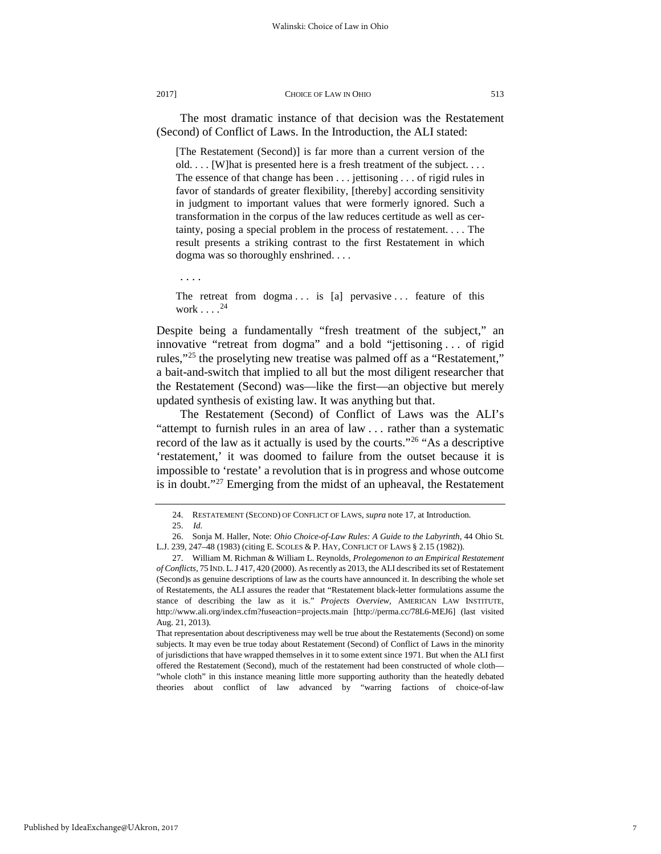The most dramatic instance of that decision was the Restatement (Second) of Conflict of Laws. In the Introduction, the ALI stated:

[The Restatement (Second)] is far more than a current version of the old. . . . [W]hat is presented here is a fresh treatment of the subject. . . . The essence of that change has been . . . jettisoning . . . of rigid rules in favor of standards of greater flexibility, [thereby] according sensitivity in judgment to important values that were formerly ignored. Such a transformation in the corpus of the law reduces certitude as well as certainty, posing a special problem in the process of restatement. . . . The result presents a striking contrast to the first Restatement in which dogma was so thoroughly enshrined. . . .

. . . .

The retreat from  $dogma \ldots$  is [a] pervasive ... feature of this work  $\ldots$ .<sup>[24](#page-7-0)</sup>

Despite being a fundamentally "fresh treatment of the subject," an innovative "retreat from dogma" and a bold "jettisoning . . . of rigid rules,["25](#page-7-1) the proselyting new treatise was palmed off as a "Restatement," a bait-and-switch that implied to all but the most diligent researcher that the Restatement (Second) was—like the first—an objective but merely updated synthesis of existing law. It was anything but that.

The Restatement (Second) of Conflict of Laws was the ALI's "attempt to furnish rules in an area of law . . . rather than a systematic record of the law as it actually is used by the courts."[26](#page-7-2) "As a descriptive 'restatement,' it was doomed to failure from the outset because it is impossible to 'restate' a revolution that is in progress and whose outcome is in doubt."<sup>[27](#page-7-3)</sup> Emerging from the midst of an upheaval, the Restatement

That representation about descriptiveness may well be true about the Restatements (Second) on some subjects. It may even be true today about Restatement (Second) of Conflict of Laws in the minority of jurisdictions that have wrapped themselves in it to some extent since 1971. But when the ALI first offered the Restatement (Second), much of the restatement had been constructed of whole cloth— "whole cloth" in this instance meaning little more supporting authority than the heatedly debated theories about conflict of law advanced by "warring factions of choice-of-law

<sup>24.</sup> RESTATEMENT (SECOND) OF CONFLICT OF LAWS, *supra* note 17, at Introduction*.*

<sup>25.</sup> *Id.*

<span id="page-7-2"></span><span id="page-7-1"></span><span id="page-7-0"></span><sup>26.</sup> Sonja M. Haller, Note: *Ohio Choice-of-Law Rules: A Guide to the Labyrinth*, 44 Ohio St. L.J. 239, 247–48 (1983) (citing E. SCOLES & P. HAY, CONFLICT OF LAWS § 2.15 (1982)).

<span id="page-7-3"></span><sup>27.</sup> William M. Richman & William L. Reynolds, *Prolegomenon to an Empirical Restatement of Conflicts,* 75 IND. L.J 417, 420 (2000). As recently as 2013, the ALI described its set of Restatement (Second)s as genuine descriptions of law as the courts have announced it. In describing the whole set of Restatements, the ALI assures the reader that "Restatement black-letter formulations assume the stance of describing the law as it is." *Projects Overview,* AMERICAN LAW INSTITUTE, http://www.ali.org/index.cfm?fuseaction=projects.main [http://perma.cc/78L6-MEJ6] (last visited Aug. 21, 2013).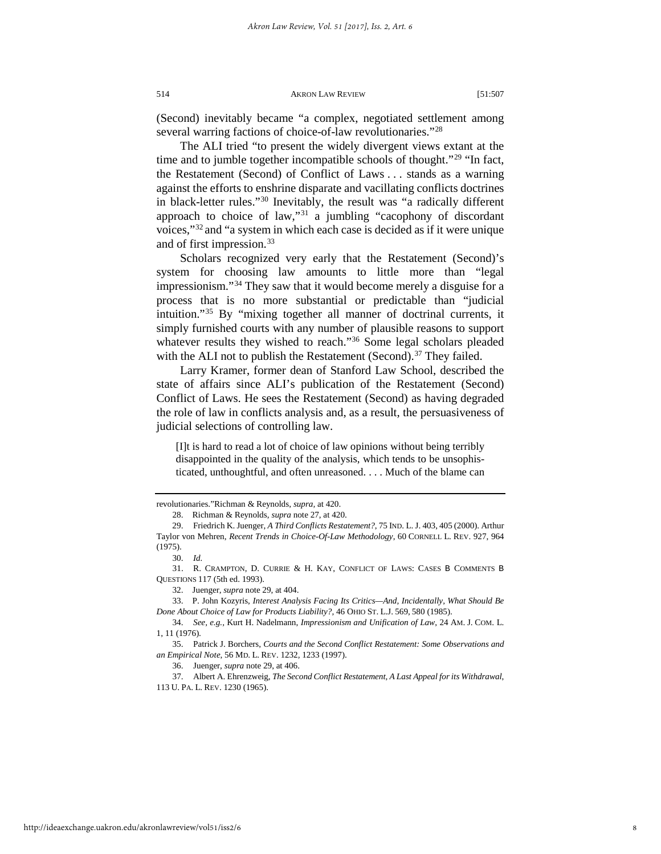(Second) inevitably became "a complex, negotiated settlement among several warring factions of choice-of-law revolutionaries."<sup>[28](#page-8-0)</sup>

The ALI tried "to present the widely divergent views extant at the time and to jumble together incompatible schools of thought."<sup>[29](#page-8-1)</sup> "In fact, the Restatement (Second) of Conflict of Laws . . . stands as a warning against the efforts to enshrine disparate and vacillating conflicts doctrines in black-letter rules."[30](#page-8-2) Inevitably, the result was "a radically different approach to choice of law,"[31](#page-8-3) a jumbling "cacophony of discordant voices,"[32](#page-8-4) and "a system in which each case is decided as if it were unique and of first impression.[33](#page-8-5)

Scholars recognized very early that the Restatement (Second)'s system for choosing law amounts to little more than "legal impressionism."[34](#page-8-6) They saw that it would become merely a disguise for a process that is no more substantial or predictable than "judicial intuition."[35](#page-8-7) By "mixing together all manner of doctrinal currents, it simply furnished courts with any number of plausible reasons to support whatever results they wished to reach."<sup>[36](#page-8-8)</sup> Some legal scholars pleaded with the ALI not to publish the Restatement (Second).<sup>[37](#page-8-9)</sup> They failed.

Larry Kramer, former dean of Stanford Law School, described the state of affairs since ALI's publication of the Restatement (Second) Conflict of Laws. He sees the Restatement (Second) as having degraded the role of law in conflicts analysis and, as a result, the persuasiveness of judicial selections of controlling law.

[I]t is hard to read a lot of choice of law opinions without being terribly disappointed in the quality of the analysis, which tends to be unsophisticated, unthoughtful, and often unreasoned. . . . Much of the blame can

revolutionaries."Richman & Reynolds, *supra,* at 420.

<sup>28.</sup> Richman & Reynolds, *supra* note 27, at 420.

<span id="page-8-1"></span><span id="page-8-0"></span><sup>29.</sup> Friedrich K. Juenger, *A Third Conflicts Restatement?*, 75 IND. L. J. 403, 405 (2000). Arthur Taylor von Mehren, *Recent Trends in Choice-Of-Law Methodology*, 60 CORNELL L. REV. 927, 964 (1975).

<sup>30.</sup> *Id.*

<span id="page-8-3"></span><span id="page-8-2"></span><sup>31.</sup> R. CRAMPTON, D. CURRIE & H. KAY, CONFLICT OF LAWS: CASES B COMMENTS B QUESTIONS 117 (5th ed. 1993).

<sup>32.</sup> Juenger, *supra* note 29, at 404.

<span id="page-8-5"></span><span id="page-8-4"></span><sup>33.</sup> P. John Kozyris, *Interest Analysis Facing Its Critics—And, Incidentally, What Should Be Done About Choice of Law for Products Liability?,* 46 OHIO ST. L.J. 569, 580 (1985).

<span id="page-8-6"></span><sup>34.</sup> *See, e.g.,* Kurt H. Nadelmann, *Impressionism and Unification of Law*, 24 AM. J. COM. L. 1, 11 (1976).

<span id="page-8-7"></span><sup>35.</sup> Patrick J. Borchers, *Courts and the Second Conflict Restatement: Some Observations and an Empirical Note*, 56 MD. L. REV. 1232*,* 1233 (1997).

<sup>36.</sup> Juenger, *supra* note 29, at 406.

<span id="page-8-9"></span><span id="page-8-8"></span><sup>37.</sup> Albert A. Ehrenzweig, *The Second Conflict Restatement, A Last Appeal for its Withdrawal*, 113 U. PA. L. REV. 1230 (1965).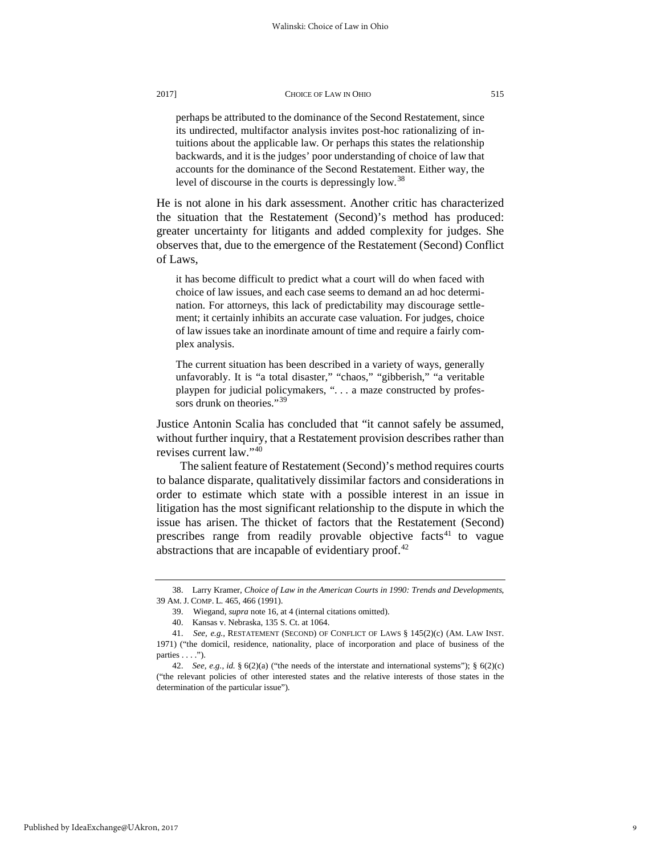perhaps be attributed to the dominance of the Second Restatement, since its undirected, multifactor analysis invites post-hoc rationalizing of intuitions about the applicable law. Or perhaps this states the relationship backwards, and it is the judges' poor understanding of choice of law that accounts for the dominance of the Second Restatement. Either way, the level of discourse in the courts is depressingly low.<sup>[38](#page-9-0)</sup>

He is not alone in his dark assessment. Another critic has characterized the situation that the Restatement (Second)'s method has produced: greater uncertainty for litigants and added complexity for judges. She observes that, due to the emergence of the Restatement (Second) Conflict of Laws,

it has become difficult to predict what a court will do when faced with choice of law issues, and each case seems to demand an ad hoc determination. For attorneys, this lack of predictability may discourage settlement; it certainly inhibits an accurate case valuation. For judges, choice of law issues take an inordinate amount of time and require a fairly complex analysis.

The current situation has been described in a variety of ways, generally unfavorably. It is "a total disaster," "chaos," "gibberish," "a veritable playpen for judicial policymakers, ". . . a maze constructed by profes-sors drunk on theories."<sup>[39](#page-9-1)</sup>

Justice Antonin Scalia has concluded that "it cannot safely be assumed, without further inquiry, that a Restatement provision describes rather than revises current law."[40](#page-9-2)

The salient feature of Restatement (Second)'s method requires courts to balance disparate, qualitatively dissimilar factors and considerations in order to estimate which state with a possible interest in an issue in litigation has the most significant relationship to the dispute in which the issue has arisen. The thicket of factors that the Restatement (Second) prescribes range from readily provable objective facts<sup>41</sup> to vague abstractions that are incapable of evidentiary proof.<sup>[42](#page-9-4)</sup>

<span id="page-9-1"></span><span id="page-9-0"></span><sup>38.</sup> Larry Kramer, *Choice of Law in the American Courts in 1990: Trends and Developments*, 39 AM. J. COMP. L. 465, 466 (1991).

<sup>39.</sup> Wiegand, *supra* note 16, at 4 (internal citations omitted).

<sup>40.</sup> Kansas v. Nebraska, 135 S. Ct. at 1064.

<span id="page-9-3"></span><span id="page-9-2"></span><sup>41.</sup> *See, e.g.,* RESTATEMENT (SECOND) OF CONFLICT OF LAWS § 145(2)(c) (AM. LAW INST. 1971) ("the domicil, residence, nationality, place of incorporation and place of business of the parties  $\dots$ .").

<span id="page-9-4"></span><sup>42.</sup> *[See, e.g.,](http://www.lexis.com/research/xlink?app=00075&view=full&searchtype=get&search=Restat+2d+of+Conflict+of+Laws%252C+%25A7+188) id.* § 6(2)(a) ("the needs of the interstate and international systems"); § 6(2)(c) ("the relevant policies of other interested states and the relative interests of those states in the determination of the particular issue").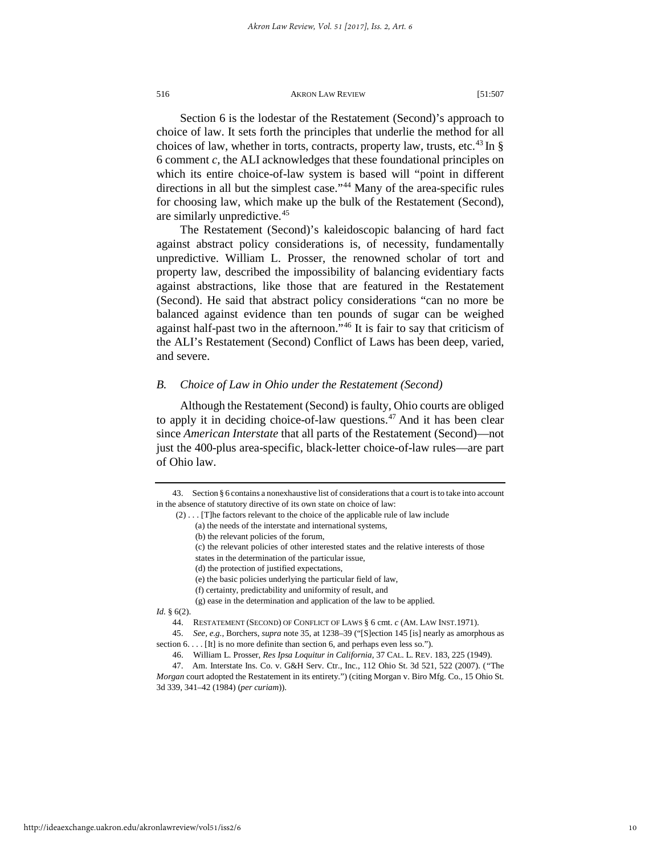Section 6 is the lodestar of the Restatement (Second)'s approach to choice of law. It sets forth the principles that underlie the method for all choices of law, whether in torts, contracts, property law, trusts, etc.<sup>[43](#page-10-0)</sup> In  $\S$ 6 comment *c,* the ALI acknowledges that these foundational principles on which its entire choice-of-law system is based will "point in different directions in all but the simplest case."<sup>[44](#page-10-1)</sup> Many of the area-specific rules for choosing law, which make up the bulk of the Restatement (Second), are similarly unpredictive.[45](#page-10-2)

The Restatement (Second)'s kaleidoscopic balancing of hard fact against abstract policy considerations is, of necessity, fundamentally unpredictive. William L. Prosser, the renowned scholar of tort and property law, described the impossibility of balancing evidentiary facts against abstractions, like those that are featured in the Restatement (Second). He said that abstract policy considerations "can no more be balanced against evidence than ten pounds of sugar can be weighed against half-past two in the afternoon."[46](#page-10-3) It is fair to say that criticism of the ALI's Restatement (Second) Conflict of Laws has been deep, varied, and severe.

## *B. Choice of Law in Ohio under the Restatement (Second)*

Although the Restatement (Second) is faulty, Ohio courts are obliged to apply it in deciding choice-of-law questions. $47$  And it has been clear since *American Interstate* that all parts of the Restatement (Second)—not just the 400-plus area-specific, black-letter choice-of-law rules—are part of Ohio law.

<span id="page-10-1"></span>*Id.* § 6(2).

<span id="page-10-0"></span><sup>43.</sup> Section § 6 contains a nonexhaustive list of considerations that a court is to take into account in the absence of statutory directive of its own state on choice of law:

<sup>(2) . . . [</sup>T]he factors relevant to the choice of the applicable rule of law include

<sup>(</sup>a) the needs of the interstate and international systems,

<sup>(</sup>b) the relevant policies of the forum,

<sup>(</sup>c) the relevant policies of other interested states and the relative interests of those

states in the determination of the particular issue,

<sup>(</sup>d) the protection of justified expectations,

<sup>(</sup>e) the basic policies underlying the particular field of law,

<sup>(</sup>f) certainty, predictability and uniformity of result, and

<sup>(</sup>g) ease in the determination and application of the law to be applied.

<sup>44.</sup> RESTATEMENT (SECOND) OF CONFLICT OF LAWS § 6 cmt. *c* (AM. LAW INST.1971).

<span id="page-10-2"></span><sup>45.</sup> *See, e.g.,* Borchers, *supra* note 35, at 1238–39 ("[S]ection 145 [is] nearly as amorphous as section 6. . . . [It] is no more definite than section 6, and perhaps even less so.").

<sup>46.</sup> William L. Prosser, *Res Ipsa Loquitur in California*, 37 CAL. L. REV. 183, 225 (1949).

<span id="page-10-4"></span><span id="page-10-3"></span><sup>47.</sup> Am. Interstate Ins. Co. v. G&H Serv. Ctr., Inc*.*, 112 Ohio St. 3d 521, 522 (2007). (*"*The *Morgan* court adopted the Restatement in its entirety.") (citing Morgan v. Biro Mfg. Co., 15 Ohio St. 3d 339, 341–42 (1984) (*per curiam*)).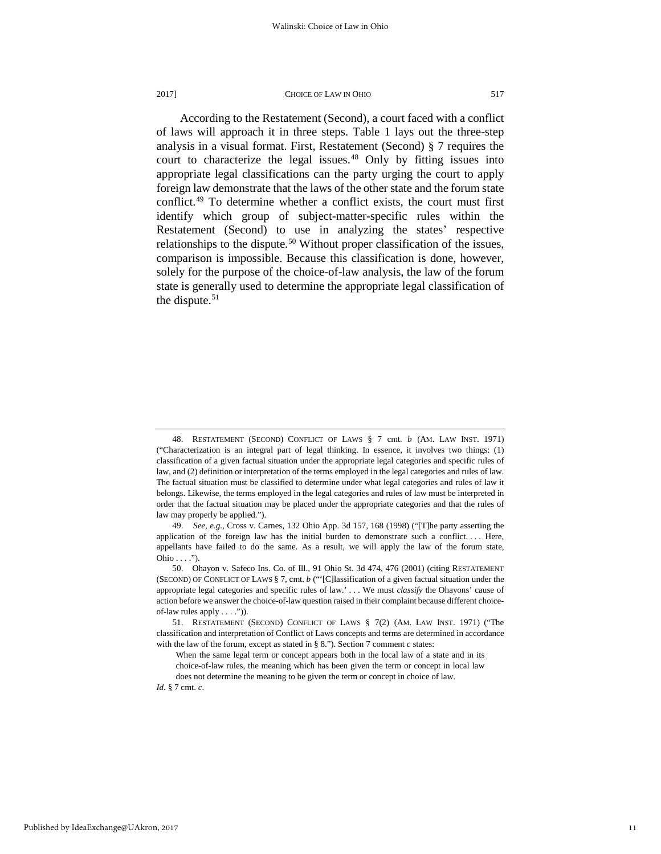According to the Restatement (Second), a court faced with a conflict of laws will approach it in three steps. Table 1 lays out the three-step analysis in a visual format. First, Restatement (Second) § 7 requires the court to characterize the legal issues.<sup>[48](#page-11-0)</sup> Only by fitting issues into appropriate legal classifications can the party urging the court to apply foreign law demonstrate that the laws of the other state and the forum state conflict.[49](#page-11-1) To determine whether a conflict exists, the court must first identify which group of subject-matter-specific rules within the Restatement (Second) to use in analyzing the states' respective relationships to the dispute.<sup>[50](#page-11-2)</sup> Without proper classification of the issues, comparison is impossible. Because this classification is done, however, solely for the purpose of the choice-of-law analysis, the law of the forum state is generally used to determine the appropriate legal classification of the dispute. $51$ 

<span id="page-11-0"></span><sup>48.</sup> RESTATEMENT (SECOND) CONFLICT OF LAWS § 7 cmt*. b* (AM. LAW INST. 1971) ("Characterization is an integral part of legal thinking. In essence, it involves two things: (1) classification of a given factual situation under the appropriate legal categories and specific rules of law, and (2) definition or interpretation of the terms employed in the legal categories and rules of law. The factual situation must be classified to determine under what legal categories and rules of law it belongs. Likewise, the terms employed in the legal categories and rules of law must be interpreted in order that the factual situation may be placed under the appropriate categories and that the rules of law may properly be applied.").

<span id="page-11-1"></span><sup>49.</sup> *See, e.g.,* Cross v. Carnes, 132 Ohio App. 3d 157, 168 (1998) ("[T]he party asserting the application of the foreign law has the initial burden to demonstrate such a conflict. . . . Here, appellants have failed to do the same. As a result, we will apply the law of the forum state, Ohio . . . .").

<span id="page-11-2"></span><sup>50.</sup> Ohayon v. Safeco Ins. Co. of Ill., 91 Ohio St. 3d 474, 476 (2001) (citing RESTATEMENT (SECOND) OF CONFLICT OF LAWS § 7, cmt. *b* ("'[C]lassification of a given factual situation under the appropriate legal categories and specific rules of law.' . . . We must *classify* the Ohayons' cause of action before we answer the choice-of-law question raised in their complaint because different choiceof-law rules apply . . . .")).

<span id="page-11-3"></span><sup>51.</sup> RESTATEMENT (SECOND) CONFLICT OF LAWS § 7(2) (AM. LAW INST. 1971) ("The classification and interpretation of Conflict of Laws concepts and terms are determined in accordance with the law of the forum, except as stated in § 8."). Section 7 comment *c* states:

When the same legal term or concept appears both in the local law of a state and in its choice-of-law rules, the meaning which has been given the term or concept in local law does not determine the meaning to be given the term or concept in choice of law.

*Id.* § 7 cmt. *c*.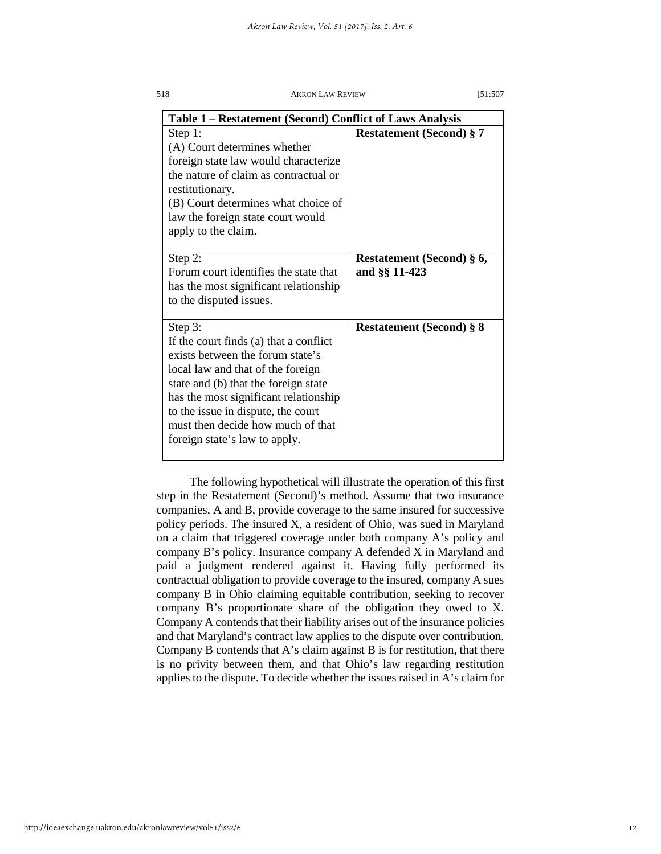| Table 1 – Restatement (Second) Conflict of Laws Analysis                                                                                                                                                                                                                                                                |                                            |  |  |
|-------------------------------------------------------------------------------------------------------------------------------------------------------------------------------------------------------------------------------------------------------------------------------------------------------------------------|--------------------------------------------|--|--|
| Step 1:<br>(A) Court determines whether<br>foreign state law would characterize<br>the nature of claim as contractual or<br>restitutionary.<br>(B) Court determines what choice of<br>law the foreign state court would<br>apply to the claim.                                                                          | <b>Restatement (Second) § 7</b>            |  |  |
| Step 2:<br>Forum court identifies the state that<br>has the most significant relationship<br>to the disputed issues.                                                                                                                                                                                                    | Restatement (Second) § 6,<br>and §§ 11-423 |  |  |
| Step 3:<br>If the court finds (a) that a conflict<br>exists between the forum state's<br>local law and that of the foreign<br>state and (b) that the foreign state<br>has the most significant relationship<br>to the issue in dispute, the court<br>must then decide how much of that<br>foreign state's law to apply. | <b>Restatement (Second) § 8</b>            |  |  |

The following hypothetical will illustrate the operation of this first step in the Restatement (Second)'s method. Assume that two insurance companies, A and B, provide coverage to the same insured for successive policy periods. The insured X, a resident of Ohio, was sued in Maryland on a claim that triggered coverage under both company A's policy and company B's policy. Insurance company A defended X in Maryland and paid a judgment rendered against it. Having fully performed its contractual obligation to provide coverage to the insured, company A sues company B in Ohio claiming equitable contribution, seeking to recover company B's proportionate share of the obligation they owed to X. Company A contends that their liability arises out of the insurance policies and that Maryland's contract law applies to the dispute over contribution. Company B contends that A's claim against B is for restitution, that there is no privity between them, and that Ohio's law regarding restitution applies to the dispute. To decide whether the issues raised in A's claim for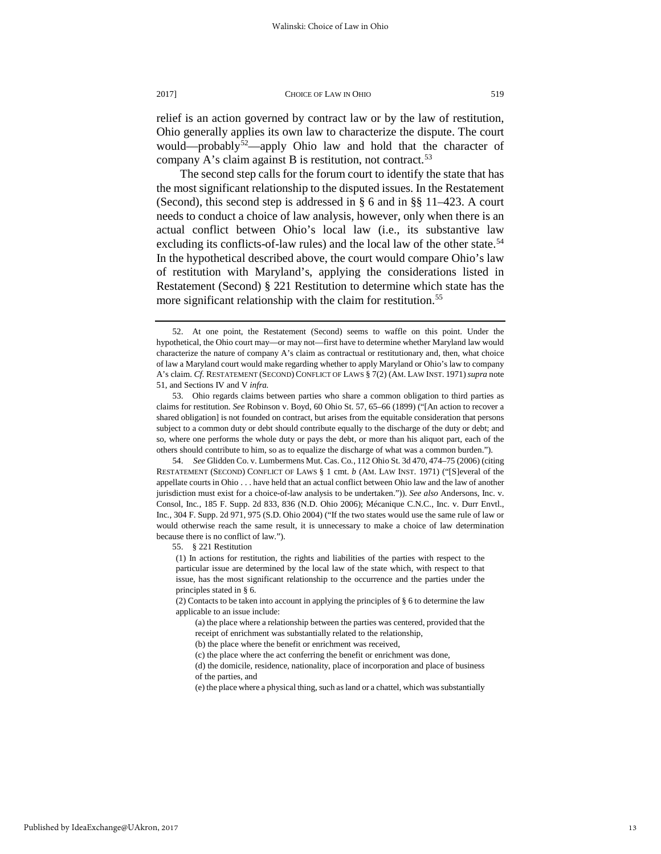relief is an action governed by contract law or by the law of restitution, Ohio generally applies its own law to characterize the dispute. The court would—probably<sup>[52](#page-13-0)</sup>—apply Ohio law and hold that the character of company A's claim against B is restitution, not contract.<sup>[53](#page-13-1)</sup>

The second step calls for the forum court to identify the state that has the most significant relationship to the disputed issues. In the Restatement (Second), this second step is addressed in § 6 and in §§ 11–423. A court needs to conduct a choice of law analysis, however, only when there is an actual conflict between Ohio's local law (i.e., its substantive law excluding its conflicts-of-law rules) and the local law of the other state.<sup>[54](#page-13-2)</sup> In the hypothetical described above, the court would compare Ohio's law of restitution with Maryland's, applying the considerations listed in Restatement (Second) § 221 Restitution to determine which state has the more significant relationship with the claim for restitution.<sup>55</sup>

<span id="page-13-2"></span>54. *See* Glidden Co. v. Lumbermens Mut. Cas. Co*.*, 112 Ohio St. 3d 470, 474–75 (2006) (citing RESTATEMENT (SECOND) CONFLICT OF LAWS § 1 cmt. *b* (AM. LAW INST. 1971) ("[S]everal of the appellate courts in Ohio . . . have held that an actual conflict between Ohio law and the law of another jurisdiction must exist for a choice-of-law analysis to be undertaken.")). *See also* Andersons, Inc. v. Consol, Inc*.*, 185 F. Supp. 2d 833, 836 (N.D. Ohio 2006); Mécanique C.N.C., Inc. v. Durr Envtl., Inc*.*, 304 F. Supp. 2d 971, 975 (S.D. Ohio 2004) ("If the two states would use the same rule of law or would otherwise reach the same result, it is unnecessary to make a choice of law determination because there is no conflict of law.").

<span id="page-13-3"></span>55. § 221 Restitution

(1) In actions for restitution, the rights and liabilities of the parties with respect to the particular issue are determined by the local law of the state which, with respect to that issue, has the most significant relationship to the occurrence and the parties under the principles stated in § 6.

(2) Contacts to be taken into account in applying the principles of § 6 to determine the law applicable to an issue include:

(a) the place where a relationship between the parties was centered, provided that the receipt of enrichment was substantially related to the relationship,

(b) the place where the benefit or enrichment was received,

(c) the place where the act conferring the benefit or enrichment was done,

(d) the domicile, residence, nationality, place of incorporation and place of business of the parties, and

(e) the place where a physical thing, such as land or a chattel, which was substantially

<span id="page-13-0"></span><sup>52.</sup> At one point, the Restatement (Second) seems to waffle on this point. Under the hypothetical, the Ohio court may—or may not—first have to determine whether Maryland law would characterize the nature of company A's claim as contractual or restitutionary and, then, what choice of law a Maryland court would make regarding whether to apply Maryland or Ohio's law to company A's claim. *Cf.* RESTATEMENT (SECOND) CONFLICT OF LAWS § 7(2) (AM. LAW INST. 1971)*supra* note 51, and Sections IV and V *infra.* 

<span id="page-13-1"></span><sup>53.</sup> Ohio regards claims between parties who share a common obligation to third parties as claims for restitution. *See* Robinson v. Boyd, 60 Ohio St. 57, 65–66 (1899) ("[An action to recover a shared obligation] is not founded on contract, but arises from the equitable consideration that persons subject to a common duty or debt should contribute equally to the discharge of the duty or debt; and so, where one performs the whole duty or pays the debt, or more than his aliquot part, each of the others should contribute to him, so as to equalize the discharge of what was a common burden.").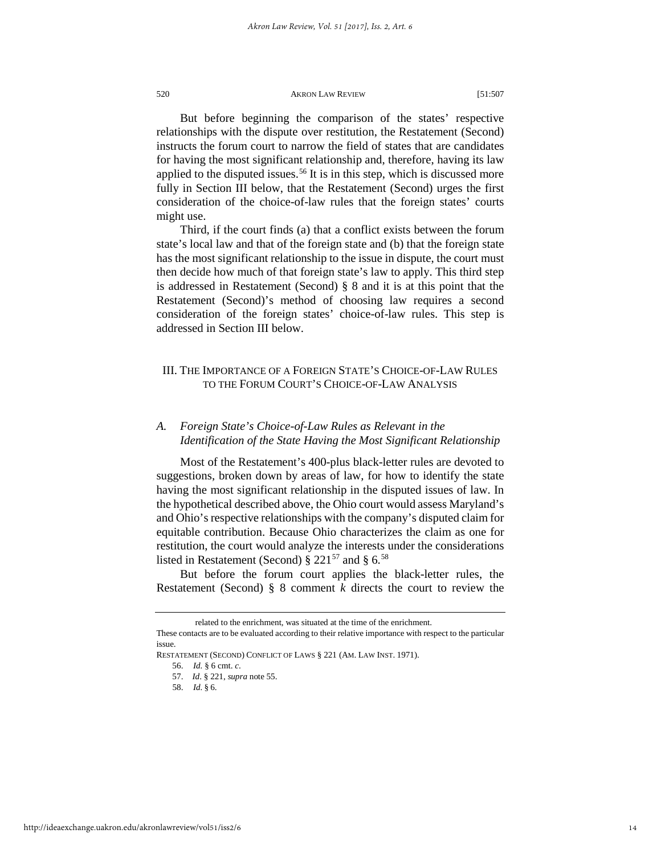But before beginning the comparison of the states' respective relationships with the dispute over restitution, the Restatement (Second) instructs the forum court to narrow the field of states that are candidates for having the most significant relationship and, therefore, having its law applied to the disputed issues.<sup>[56](#page-14-0)</sup> It is in this step, which is discussed more fully in Section III below, that the Restatement (Second) urges the first consideration of the choice-of-law rules that the foreign states' courts might use.

Third, if the court finds (a) that a conflict exists between the forum state's local law and that of the foreign state and (b) that the foreign state has the most significant relationship to the issue in dispute, the court must then decide how much of that foreign state's law to apply. This third step is addressed in Restatement (Second) § 8 and it is at this point that the Restatement (Second)'s method of choosing law requires a second consideration of the foreign states' choice-of-law rules. This step is addressed in Section III below.

# III. THE IMPORTANCE OF A FOREIGN STATE'S CHOICE-OF-LAW RULES TO THE FORUM COURT'S CHOICE-OF-LAW ANALYSIS

# *A. Foreign State's Choice-of-Law Rules as Relevant in the Identification of the State Having the Most Significant Relationship*

Most of the Restatement's 400-plus black-letter rules are devoted to suggestions, broken down by areas of law, for how to identify the state having the most significant relationship in the disputed issues of law. In the hypothetical described above, the Ohio court would assess Maryland's and Ohio's respective relationships with the company's disputed claim for equitable contribution. Because Ohio characterizes the claim as one for restitution, the court would analyze the interests under the considerations listed in Restatement (Second)  $\S 221^{57}$  $\S 221^{57}$  $\S 221^{57}$  and  $\S 6.58$  $\S 6.58$ 

But before the forum court applies the black-letter rules, the Restatement (Second) § 8 comment *k* directs the court to review the

related to the enrichment, was situated at the time of the enrichment.

These contacts are to be evaluated according to their relative importance with respect to the particular issue.

<span id="page-14-2"></span><span id="page-14-1"></span><span id="page-14-0"></span>RESTATEMENT (SECOND) CONFLICT OF LAWS § 221 (AM. LAW INST. 1971).

<sup>56.</sup> *Id.* § 6 cmt. *c*.

<sup>57.</sup> *Id*. § 221, *supra* note 55.

<sup>58.</sup> *Id.* § 6.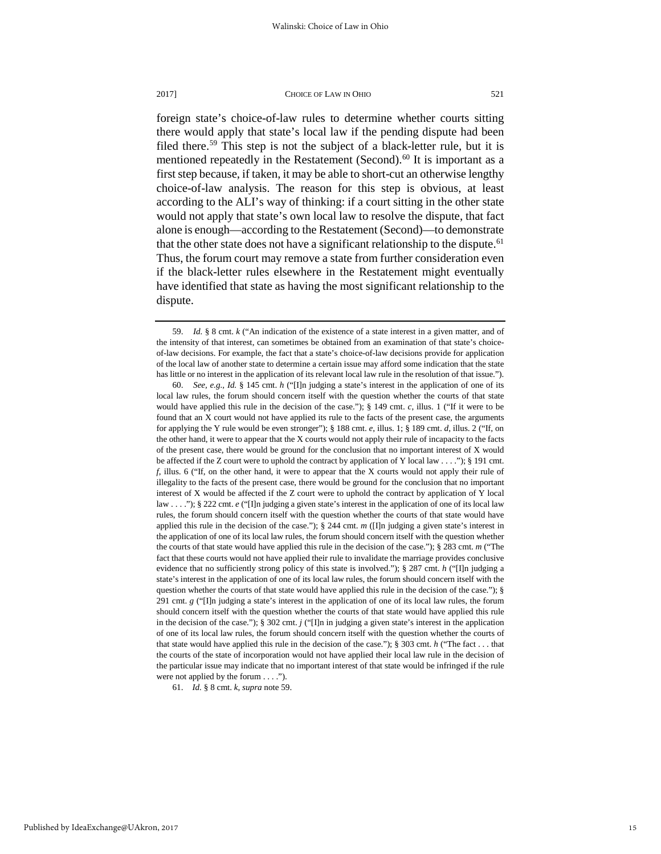foreign state's choice-of-law rules to determine whether courts sitting there would apply that state's local law if the pending dispute had been filed there.<sup>[59](#page-15-0)</sup> This step is not the subject of a black-letter rule, but it is mentioned repeatedly in the Restatement (Second).<sup>[60](#page-15-1)</sup> It is important as a first step because, if taken, it may be able to short-cut an otherwise lengthy choice-of-law analysis. The reason for this step is obvious, at least according to the ALI's way of thinking: if a court sitting in the other state would not apply that state's own local law to resolve the dispute, that fact alone is enough—according to the Restatement (Second)—to demonstrate that the other state does not have a significant relationship to the dispute.<sup>[61](#page-15-2)</sup> Thus, the forum court may remove a state from further consideration even if the black-letter rules elsewhere in the Restatement might eventually have identified that state as having the most significant relationship to the dispute.

<span id="page-15-2"></span>61. *Id.* § 8 cmt. *k*, *supra* note 59.

<span id="page-15-0"></span><sup>59.</sup> *Id.* § 8 cmt. *k* ("An indication of the existence of a state interest in a given matter, and of the intensity of that interest, can sometimes be obtained from an examination of that state's choiceof-law decisions. For example, the fact that a state's choice-of-law decisions provide for application of the local law of another state to determine a certain issue may afford some indication that the state has little or no interest in the application of its relevant local law rule in the resolution of that issue.").

<span id="page-15-1"></span><sup>60.</sup> *See, e.g., Id.* § 145 cmt. *h* ("[I]n judging a state's interest in the application of one of its local law rules, the forum should concern itself with the question whether the courts of that state would have applied this rule in the decision of the case."); § 149 cmt. *c*, illus. 1 ("If it were to be found that an X court would not have applied its rule to the facts of the present case, the arguments for applying the Y rule would be even stronger"); § 188 cmt. *e*, illus. 1; § 189 cmt. *d*, illus. 2 ("If, on the other hand, it were to appear that the X courts would not apply their rule of incapacity to the facts of the present case, there would be ground for the conclusion that no important interest of X would be affected if the Z court were to uphold the contract by application of Y local law . . . ."); § 191 cmt. *f*, illus. 6 ("If, on the other hand, it were to appear that the X courts would not apply their rule of illegality to the facts of the present case, there would be ground for the conclusion that no important interest of X would be affected if the Z court were to uphold the contract by application of Y local law . . . ."); § 222 cmt. *e* ("[I]n judging a given state's interest in the application of one of its local law rules, the forum should concern itself with the question whether the courts of that state would have applied this rule in the decision of the case.");  $\S$  244 cmt. *m* ([I]n judging a given state's interest in the application of one of its local law rules, the forum should concern itself with the question whether the courts of that state would have applied this rule in the decision of the case."); § 283 cmt. *m* ("The fact that these courts would not have applied their rule to invalidate the marriage provides conclusive evidence that no sufficiently strong policy of this state is involved."); § 287 cmt. *h* ("[I]n judging a state's interest in the application of one of its local law rules, the forum should concern itself with the question whether the courts of that state would have applied this rule in the decision of the case.");  $\S$ 291 cmt. *g* ("[I]n judging a state's interest in the application of one of its local law rules, the forum should concern itself with the question whether the courts of that state would have applied this rule in the decision of the case."); § 302 cmt. *j* ("[I]n in judging a given state's interest in the application of one of its local law rules, the forum should concern itself with the question whether the courts of that state would have applied this rule in the decision of the case."); § 303 cmt. *h* ("The fact . . . that the courts of the state of incorporation would not have applied their local law rule in the decision of the particular issue may indicate that no important interest of that state would be infringed if the rule were not applied by the forum . . . .").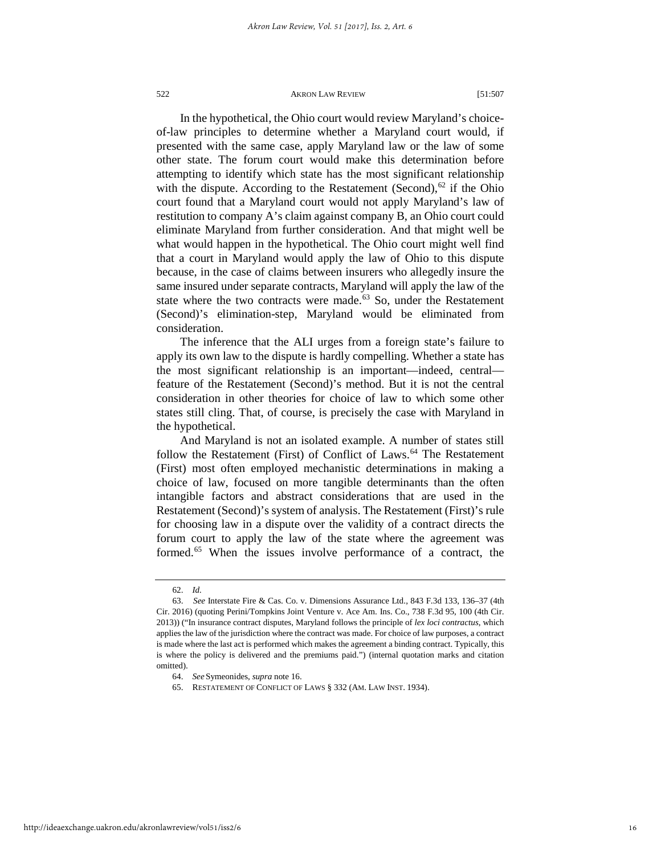In the hypothetical, the Ohio court would review Maryland's choiceof-law principles to determine whether a Maryland court would, if presented with the same case, apply Maryland law or the law of some other state. The forum court would make this determination before attempting to identify which state has the most significant relationship with the dispute. According to the Restatement (Second), $62$  if the Ohio court found that a Maryland court would not apply Maryland's law of restitution to company A's claim against company B, an Ohio court could eliminate Maryland from further consideration. And that might well be what would happen in the hypothetical. The Ohio court might well find that a court in Maryland would apply the law of Ohio to this dispute because, in the case of claims between insurers who allegedly insure the same insured under separate contracts, Maryland will apply the law of the state where the two contracts were made. $63$  So, under the Restatement (Second)'s elimination-step, Maryland would be eliminated from consideration.

The inference that the ALI urges from a foreign state's failure to apply its own law to the dispute is hardly compelling. Whether a state has the most significant relationship is an important—indeed, central feature of the Restatement (Second)'s method. But it is not the central consideration in other theories for choice of law to which some other states still cling. That, of course, is precisely the case with Maryland in the hypothetical.

And Maryland is not an isolated example. A number of states still follow the Restatement (First) of Conflict of Laws.<sup>[64](#page-16-2)</sup> The Restatement (First) most often employed mechanistic determinations in making a choice of law, focused on more tangible determinants than the often intangible factors and abstract considerations that are used in the Restatement (Second)'s system of analysis. The Restatement (First)'s rule for choosing law in a dispute over the validity of a contract directs the forum court to apply the law of the state where the agreement was formed.[65](#page-16-3) When the issues involve performance of a contract, the

<span id="page-16-3"></span><span id="page-16-2"></span>http://ideaexchange.uakron.edu/akronlawreview/vol51/iss2/6

<sup>62.</sup> *Id.*

<span id="page-16-1"></span><span id="page-16-0"></span><sup>63.</sup> *See* Interstate Fire & Cas. Co. v. Dimensions Assurance Ltd., 843 F.3d 133, 136–37 (4th Cir. 2016) (quoting Perini/Tompkins Joint Venture v. Ace Am. Ins. Co., 738 F.3d 95, 100 (4th Cir. 2013)) ("In insurance contract disputes, Maryland follows the principle of *lex loci contractus*, which applies the law of the jurisdiction where the contract was made. For choice of law purposes, a contract is made where the last act is performed which makes the agreement a binding contract. Typically, this is where the policy is delivered and the premiums paid.") (internal quotation marks and citation omitted).

<sup>64.</sup> *See* Symeonides, *supra* note 16.

<sup>65.</sup> RESTATEMENT OF CONFLICT OF LAWS § 332 (AM. LAW INST. 1934).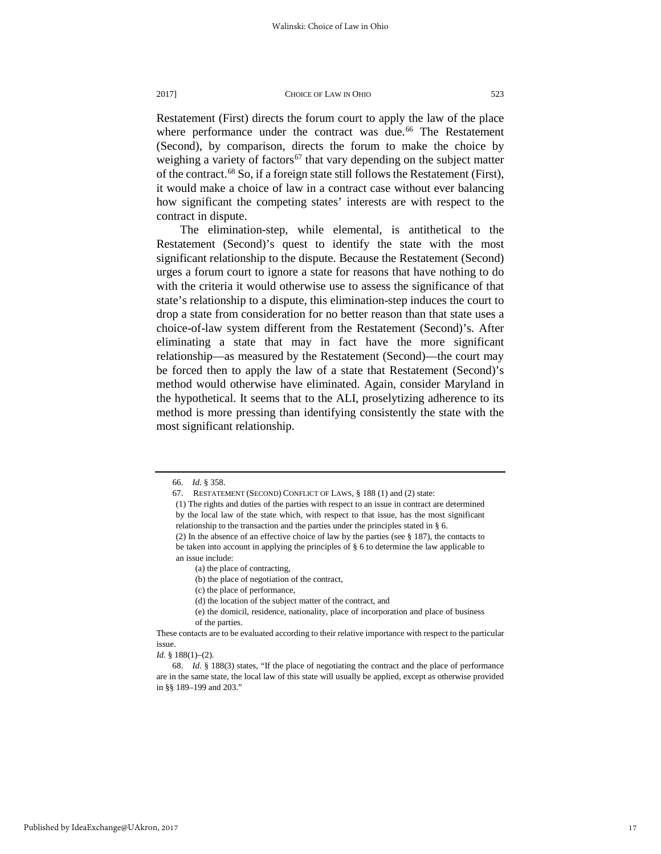Restatement (First) directs the forum court to apply the law of the place where performance under the contract was due.<sup>[66](#page-17-0)</sup> The Restatement (Second), by comparison, directs the forum to make the choice by weighing a variety of factors<sup>[67](#page-17-1)</sup> that vary depending on the subject matter of the contract.[68](#page-17-2) So, if a foreign state still follows the Restatement (First), it would make a choice of law in a contract case without ever balancing how significant the competing states' interests are with respect to the contract in dispute.

The elimination-step, while elemental, is antithetical to the Restatement (Second)'s quest to identify the state with the most significant relationship to the dispute. Because the Restatement (Second) urges a forum court to ignore a state for reasons that have nothing to do with the criteria it would otherwise use to assess the significance of that state's relationship to a dispute, this elimination-step induces the court to drop a state from consideration for no better reason than that state uses a choice-of-law system different from the Restatement (Second)'s. After eliminating a state that may in fact have the more significant relationship—as measured by the Restatement (Second)—the court may be forced then to apply the law of a state that Restatement (Second)'s method would otherwise have eliminated. Again, consider Maryland in the hypothetical. It seems that to the ALI, proselytizing adherence to its method is more pressing than identifying consistently the state with the most significant relationship.

<span id="page-17-0"></span><sup>66.</sup> *Id.* § 358.

<span id="page-17-1"></span><sup>67.</sup> RESTATEMENT (SECOND) CONFLICT OF LAWS, § 188 (1) and (2) state:

<sup>(1)</sup> The rights and duties of the parties with respect to an issue in contract are determined by the local law of the state which, with respect to that issue, has the most significant relationship to the transaction and the parties under the principles stated in § 6.

<sup>(2)</sup> In the absence of an effective choice of law by the parties (see § 187), the contacts to be taken into account in applying the principles of § 6 to determine the law applicable to an issue include:

<sup>(</sup>a) the place of contracting,

<sup>(</sup>b) the place of negotiation of the contract,

<sup>(</sup>c) the place of performance,

<sup>(</sup>d) the location of the subject matter of the contract, and

<sup>(</sup>e) the domicil, residence, nationality, place of incorporation and place of business

of the parties.

These contacts are to be evaluated according to their relative importance with respect to the particular issue.

*Id.* § 188(1)–(2).

<span id="page-17-2"></span><sup>68.</sup> *Id.* § 188(3) states, "If the place of negotiating the contract and the place of performance are in the same state, the local law of this state will usually be applied, except as otherwise provided in §§ 189–199 and 203."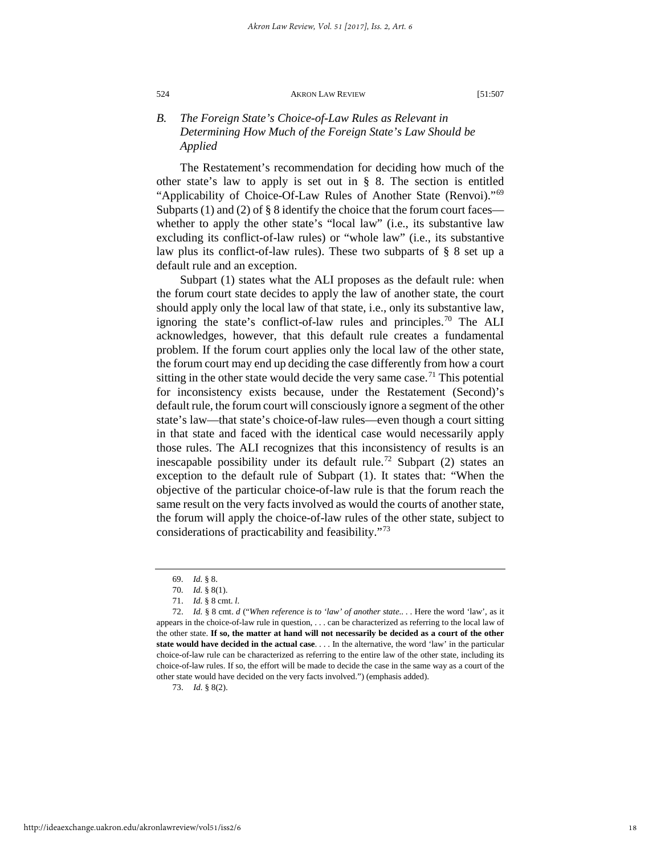# *B. The Foreign State's Choice-of-Law Rules as Relevant in Determining How Much of the Foreign State's Law Should be Applied*

The Restatement's recommendation for deciding how much of the other state's law to apply is set out in § 8. The section is entitled "Applicability of Choice-Of-Law Rules of Another State (Renvoi)."[69](#page-18-0) Subparts (1) and (2) of  $\S$  8 identify the choice that the forum court faces whether to apply the other state's "local law" (i.e., its substantive law excluding its conflict-of-law rules) or "whole law" (i.e., its substantive law plus its conflict-of-law rules). These two subparts of § 8 set up a default rule and an exception.

Subpart (1) states what the ALI proposes as the default rule: when the forum court state decides to apply the law of another state, the court should apply only the local law of that state, i.e., only its substantive law, ignoring the state's conflict-of-law rules and principles.<sup>[70](#page-18-1)</sup> The ALI acknowledges, however, that this default rule creates a fundamental problem. If the forum court applies only the local law of the other state, the forum court may end up deciding the case differently from how a court sitting in the other state would decide the very same case.<sup>[71](#page-18-2)</sup> This potential for inconsistency exists because, under the Restatement (Second)'s default rule, the forum court will consciously ignore a segment of the other state's law—that state's choice-of-law rules—even though a court sitting in that state and faced with the identical case would necessarily apply those rules. The ALI recognizes that this inconsistency of results is an inescapable possibility under its default rule.<sup>[72](#page-18-3)</sup> Subpart (2) states an exception to the default rule of Subpart (1). It states that: "When the objective of the particular choice-of-law rule is that the forum reach the same result on the very facts involved as would the courts of another state, the forum will apply the choice-of-law rules of the other state, subject to considerations of practicability and feasibility."[73](#page-18-4)

<span id="page-18-4"></span>73. *Id.* § 8(2).

<sup>69.</sup> *Id.* § 8.

<sup>70.</sup> *Id.* § 8(1).

<sup>71.</sup> *Id.* § 8 cmt. *l*.

<span id="page-18-3"></span><span id="page-18-2"></span><span id="page-18-1"></span><span id="page-18-0"></span><sup>72.</sup> *Id.* § 8 cmt. *d* ("*When reference is to 'law' of another state*.. . . Here the word 'law', as it appears in the choice-of-law rule in question, . . . can be characterized as referring to the local law of the other state. **If so, the matter at hand will not necessarily be decided as a court of the other state would have decided in the actual case**. . . . In the alternative, the word 'law' in the particular choice-of-law rule can be characterized as referring to the entire law of the other state, including its choice-of-law rules. If so, the effort will be made to decide the case in the same way as a court of the other state would have decided on the very facts involved.") (emphasis added).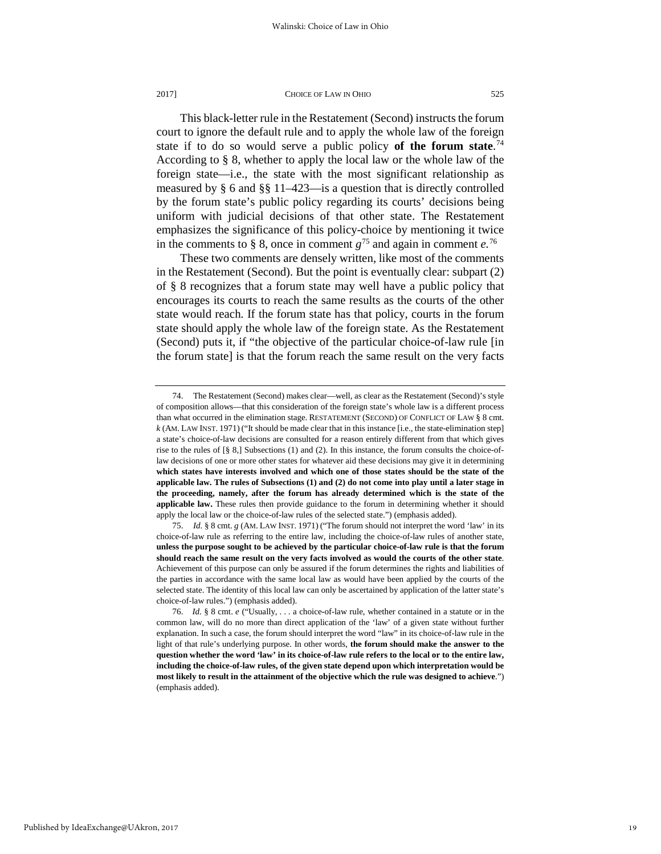This black-letter rule in the Restatement (Second) instructs the forum court to ignore the default rule and to apply the whole law of the foreign state if to do so would serve a public policy **of the forum state**. [74](#page-19-0) According to § 8, whether to apply the local law or the whole law of the foreign state—i.e., the state with the most significant relationship as measured by § 6 and §§ 11–423—is a question that is directly controlled by the forum state's public policy regarding its courts' decisions being uniform with judicial decisions of that other state. The Restatement emphasizes the significance of this policy-choice by mentioning it twice in the comments to § 8, once in comment  $g^{75}$  $g^{75}$  $g^{75}$  and again in comment  $e^{76}$  $e^{76}$  $e^{76}$ 

These two comments are densely written, like most of the comments in the Restatement (Second). But the point is eventually clear: subpart (2) of § 8 recognizes that a forum state may well have a public policy that encourages its courts to reach the same results as the courts of the other state would reach. If the forum state has that policy, courts in the forum state should apply the whole law of the foreign state. As the Restatement (Second) puts it, if "the objective of the particular choice-of-law rule [in the forum state] is that the forum reach the same result on the very facts

<span id="page-19-0"></span><sup>74.</sup> The Restatement (Second) makes clear—well, as clear as the Restatement (Second)'s style of composition allows—that this consideration of the foreign state's whole law is a different process than what occurred in the elimination stage. RESTATEMENT (SECOND) OF CONFLICT OF LAW § 8 cmt. *k* (AM. LAW INST. 1971) ("It should be made clear that in this instance [i.e., the state-elimination step] a state's choice-of-law decisions are consulted for a reason entirely different from that which gives rise to the rules of  $\lceil \frac{8}{5} \rceil$  Subsections (1) and (2). In this instance, the forum consults the choice-oflaw decisions of one or more other states for whatever aid these decisions may give it in determining **which states have interests involved and which one of those states should be the state of the applicable law. The rules of Subsections (1) and (2) do not come into play until a later stage in the proceeding, namely, after the forum has already determined which is the state of the applicable law.** These rules then provide guidance to the forum in determining whether it should apply the local law or the choice-of-law rules of the selected state.") (emphasis added).

<span id="page-19-1"></span><sup>75.</sup> *Id.* § 8 cmt. *g* (AM. LAW INST. 1971) ("The forum should not interpret the word 'law' in its choice-of-law rule as referring to the entire law, including the choice-of-law rules of another state, **unless the purpose sought to be achieved by the particular choice-of-law rule is that the forum should reach the same result on the very facts involved as would the courts of the other state**. Achievement of this purpose can only be assured if the forum determines the rights and liabilities of the parties in accordance with the same local law as would have been applied by the courts of the selected state. The identity of this local law can only be ascertained by application of the latter state's choice-of-law rules.") (emphasis added).

<span id="page-19-2"></span><sup>76.</sup> *Id.* § 8 cmt. *e* ("Usually, . . . a choice-of-law rule, whether contained in a statute or in the common law, will do no more than direct application of the 'law' of a given state without further explanation. In such a case, the forum should interpret the word "law" in its choice-of-law rule in the light of that rule's underlying purpose. In other words, **the forum should make the answer to the question whether the word 'law' in its choice-of-law rule refers to the local or to the entire law, including the choice-of-law rules, of the given state depend upon which interpretation would be most likely to result in the attainment of the objective which the rule was designed to achieve**.") (emphasis added).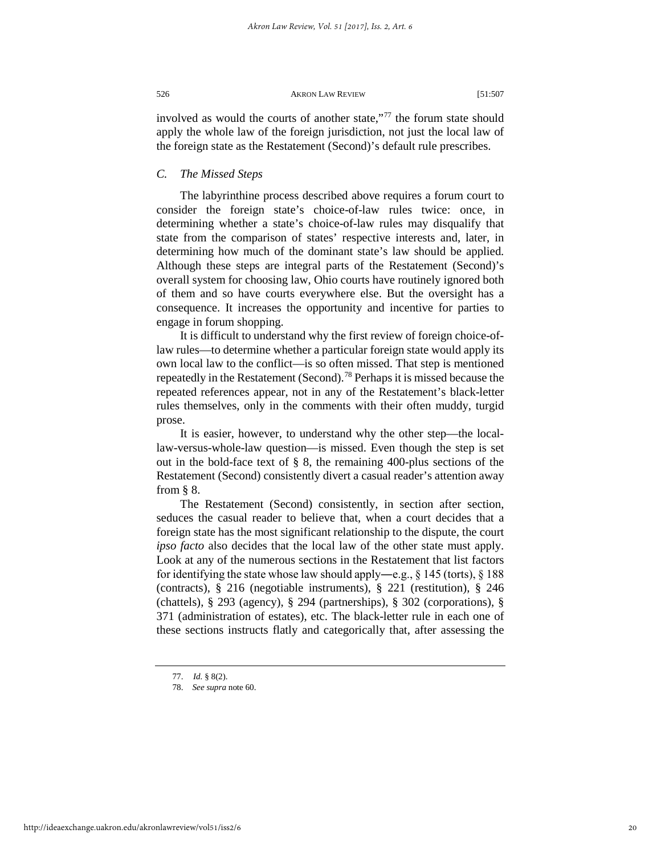involved as would the courts of another state,"[77](#page-20-0) the forum state should apply the whole law of the foreign jurisdiction, not just the local law of the foreign state as the Restatement (Second)'s default rule prescribes.

# *C. The Missed Steps*

The labyrinthine process described above requires a forum court to consider the foreign state's choice-of-law rules twice: once, in determining whether a state's choice-of-law rules may disqualify that state from the comparison of states' respective interests and, later, in determining how much of the dominant state's law should be applied. Although these steps are integral parts of the Restatement (Second)'s overall system for choosing law, Ohio courts have routinely ignored both of them and so have courts everywhere else. But the oversight has a consequence. It increases the opportunity and incentive for parties to engage in forum shopping.

It is difficult to understand why the first review of foreign choice-oflaw rules—to determine whether a particular foreign state would apply its own local law to the conflict—is so often missed. That step is mentioned repeatedly in the Restatement (Second).<sup>[78](#page-20-1)</sup> Perhaps it is missed because the repeated references appear, not in any of the Restatement's black-letter rules themselves, only in the comments with their often muddy, turgid prose.

It is easier, however, to understand why the other step—the locallaw-versus-whole-law question—is missed. Even though the step is set out in the bold-face text of § 8, the remaining 400-plus sections of the Restatement (Second) consistently divert a casual reader's attention away from § 8.

The Restatement (Second) consistently, in section after section, seduces the casual reader to believe that, when a court decides that a foreign state has the most significant relationship to the dispute, the court *ipso facto* also decides that the local law of the other state must apply. Look at any of the numerous sections in the Restatement that list factors for identifying the state whose law should apply—e.g.,  $\S$  145 (torts),  $\S$  188 (contracts), § 216 (negotiable instruments), § 221 (restitution), § 246 (chattels), § 293 (agency), § 294 (partnerships), § 302 (corporations), § 371 (administration of estates), etc. The black-letter rule in each one of these sections instructs flatly and categorically that, after assessing the

<span id="page-20-1"></span><span id="page-20-0"></span><sup>77.</sup> *Id.* § 8(2).

<sup>78.</sup> *See supra* note 60.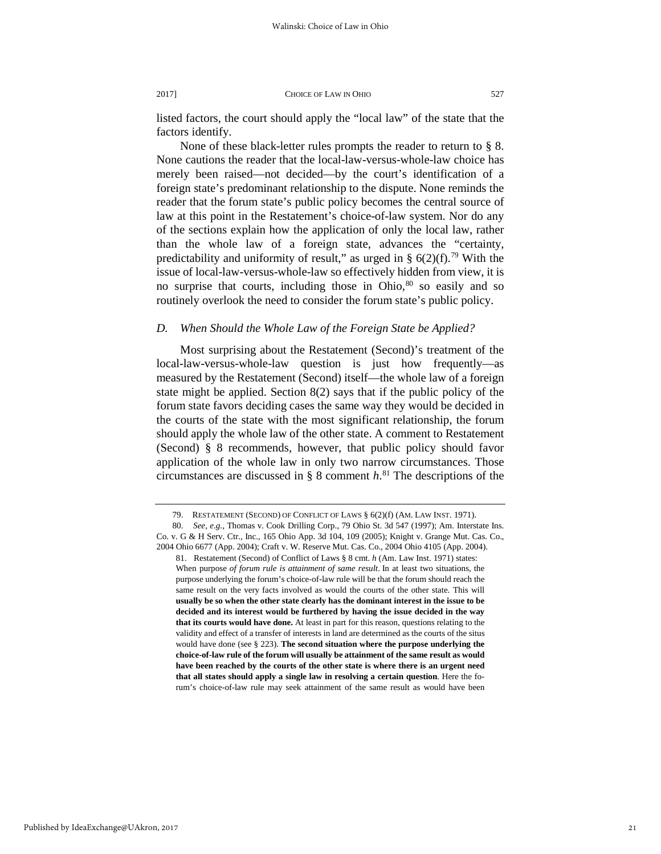listed factors, the court should apply the "local law" of the state that the factors identify.

None of these black-letter rules prompts the reader to return to § 8. None cautions the reader that the local-law-versus-whole-law choice has merely been raised—not decided—by the court's identification of a foreign state's predominant relationship to the dispute. None reminds the reader that the forum state's public policy becomes the central source of law at this point in the Restatement's choice-of-law system. Nor do any of the sections explain how the application of only the local law, rather than the whole law of a foreign state, advances the "certainty, predictability and uniformity of result," as urged in §  $6(2)(f)$ .<sup>[79](#page-21-0)</sup> With the issue of local-law-versus-whole-law so effectively hidden from view, it is no surprise that courts, including those in Ohio, $80$  so easily and so routinely overlook the need to consider the forum state's public policy.

## *D. When Should the Whole Law of the Foreign State be Applied?*

Most surprising about the Restatement (Second)'s treatment of the local-law-versus-whole-law question is just how frequently—as measured by the Restatement (Second) itself—the whole law of a foreign state might be applied. Section 8(2) says that if the public policy of the forum state favors deciding cases the same way they would be decided in the courts of the state with the most significant relationship, the forum should apply the whole law of the other state. A comment to Restatement (Second) § 8 recommends, however, that public policy should favor application of the whole law in only two narrow circumstances. Those circumstances are discussed in § 8 comment *h*. [81](#page-21-2) The descriptions of the

<sup>79.</sup> RESTATEMENT (SECOND) OF CONFLICT OF LAWS § 6(2)(f) (AM. LAW INST. 1971).

<span id="page-21-2"></span><span id="page-21-1"></span><span id="page-21-0"></span><sup>80.</sup> *See, e.g.,* Thomas v. Cook Drilling Corp., 79 Ohio St. 3d 547 (1997); Am. Interstate Ins. Co. v. G & H Serv. Ctr., Inc., 165 Ohio App. 3d 104, 109 (2005); Knight v. Grange Mut. Cas. Co., 2004 Ohio 6677 (App. 2004); Craft v. W. Reserve Mut. Cas. Co., 2004 Ohio 4105 (App. 2004). 81. Restatement (Second) of Conflict of Laws § 8 cmt. *h* (Am. Law Inst. 1971) states:

When purpose *of forum rule is attainment of same result*. In at least two situations, the purpose underlying the forum's choice-of-law rule will be that the forum should reach the same result on the very facts involved as would the courts of the other state. This will **usually be so when the other state clearly has the dominant interest in the issue to be decided and its interest would be furthered by having the issue decided in the way that its courts would have done.** At least in part for this reason, questions relating to the validity and effect of a transfer of interests in land are determined as the courts of the situs would have done (see § 223). **The second situation where the purpose underlying the choice-of-law rule of the forum will usually be attainment of the same result as would have been reached by the courts of the other state is where there is an urgent need that all states should apply a single law in resolving a certain question**. Here the forum's choice-of-law rule may seek attainment of the same result as would have been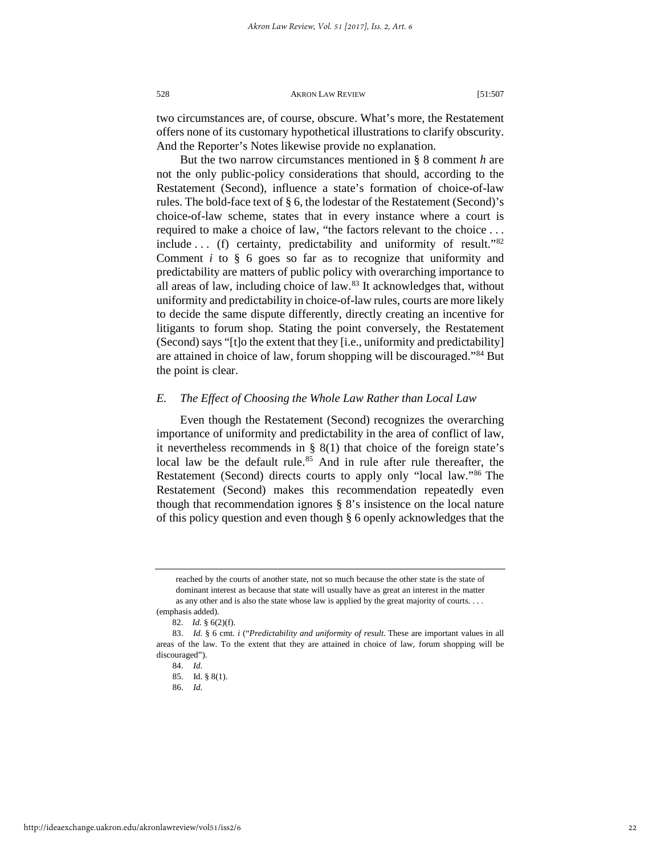two circumstances are, of course, obscure. What's more, the Restatement offers none of its customary hypothetical illustrations to clarify obscurity. And the Reporter's Notes likewise provide no explanation.

But the two narrow circumstances mentioned in § 8 comment *h* are not the only public-policy considerations that should, according to the Restatement (Second), influence a state's formation of choice-of-law rules. The bold-face text of § 6, the lodestar of the Restatement (Second)'s choice-of-law scheme, states that in every instance where a court is required to make a choice of law, "the factors relevant to the choice . . . include . . . (f) certainty, predictability and uniformity of result."[82](#page-22-0) Comment *i* to § 6 goes so far as to recognize that uniformity and predictability are matters of public policy with overarching importance to all areas of law, including choice of law.[83](#page-22-1) It acknowledges that, without uniformity and predictability in choice-of-law rules, courts are more likely to decide the same dispute differently, directly creating an incentive for litigants to forum shop. Stating the point conversely, the Restatement (Second) says "[t]o the extent that they [i.e., uniformity and predictability] are attained in choice of law, forum shopping will be discouraged."[84](#page-22-2) But the point is clear.

#### *E. The Effect of Choosing the Whole Law Rather than Local Law*

Even though the Restatement (Second) recognizes the overarching importance of uniformity and predictability in the area of conflict of law, it nevertheless recommends in  $\S$  8(1) that choice of the foreign state's local law be the default rule.<sup>[85](#page-22-3)</sup> And in rule after rule thereafter, the Restatement (Second) directs courts to apply only "local law."[86](#page-22-4) The Restatement (Second) makes this recommendation repeatedly even though that recommendation ignores § 8's insistence on the local nature of this policy question and even though § 6 openly acknowledges that the

reached by the courts of another state, not so much because the other state is the state of dominant interest as because that state will usually have as great an interest in the matter as any other and is also the state whose law is applied by the great majority of courts. . . . (emphasis added).

<sup>82.</sup> *Id.* § 6(2)(f).

<span id="page-22-4"></span><span id="page-22-3"></span><span id="page-22-2"></span><span id="page-22-1"></span><span id="page-22-0"></span><sup>83.</sup> *Id.* § 6 cmt. *i* ("*Predictability and uniformity of result*. These are important values in all areas of the law. To the extent that they are attained in choice of law, forum shopping will be discouraged").

<sup>84.</sup> *Id.*

<sup>85.</sup> Id. § 8(1).

<sup>86.</sup> *Id.*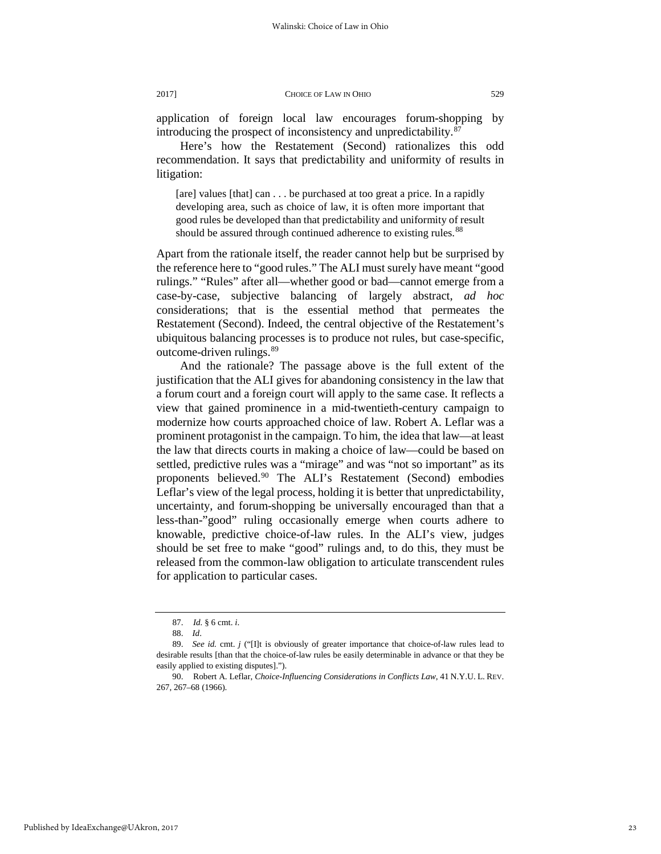application of foreign local law encourages forum-shopping by introducing the prospect of inconsistency and unpredictability.[87](#page-23-0)

Here's how the Restatement (Second) rationalizes this odd recommendation. It says that predictability and uniformity of results in litigation:

[are] values [that] can . . . be purchased at too great a price. In a rapidly developing area, such as choice of law, it is often more important that good rules be developed than that predictability and uniformity of result should be assured through continued adherence to existing rules.<sup>[88](#page-23-1)</sup>

Apart from the rationale itself, the reader cannot help but be surprised by the reference here to "good rules." The ALI must surely have meant "good rulings." "Rules" after all—whether good or bad—cannot emerge from a case-by-case*,* subjective balancing of largely abstract, *ad hoc* considerations; that is the essential method that permeates the Restatement (Second). Indeed, the central objective of the Restatement's ubiquitous balancing processes is to produce not rules, but case-specific, outcome-driven rulings.[89](#page-23-2)

And the rationale? The passage above is the full extent of the justification that the ALI gives for abandoning consistency in the law that a forum court and a foreign court will apply to the same case. It reflects a view that gained prominence in a mid-twentieth-century campaign to modernize how courts approached choice of law. Robert A. Leflar was a prominent protagonist in the campaign. To him, the idea that law—at least the law that directs courts in making a choice of law—could be based on settled, predictive rules was a "mirage" and was "not so important" as its proponents believed.<sup>[90](#page-23-3)</sup> The ALI's Restatement (Second) embodies Leflar's view of the legal process, holding it is better that unpredictability, uncertainty, and forum-shopping be universally encouraged than that a less-than-"good" ruling occasionally emerge when courts adhere to knowable, predictive choice-of-law rules. In the ALI's view, judges should be set free to make "good" rulings and, to do this, they must be released from the common-law obligation to articulate transcendent rules for application to particular cases.

<sup>87.</sup> *Id.* § 6 cmt. *i*.

<sup>88.</sup> *Id*.

<span id="page-23-2"></span><span id="page-23-1"></span><span id="page-23-0"></span><sup>89.</sup> *See id.* cmt. *j* ("[I]t is obviously of greater importance that choice-of-law rules lead to desirable results [than that the choice-of-law rules be easily determinable in advance or that they be easily applied to existing disputes].").

<span id="page-23-3"></span><sup>90.</sup> Robert A. Leflar, *Choice-Influencing Considerations in Conflicts Law*, 41 N.Y.U. L. REV. 267, 267–68 (1966).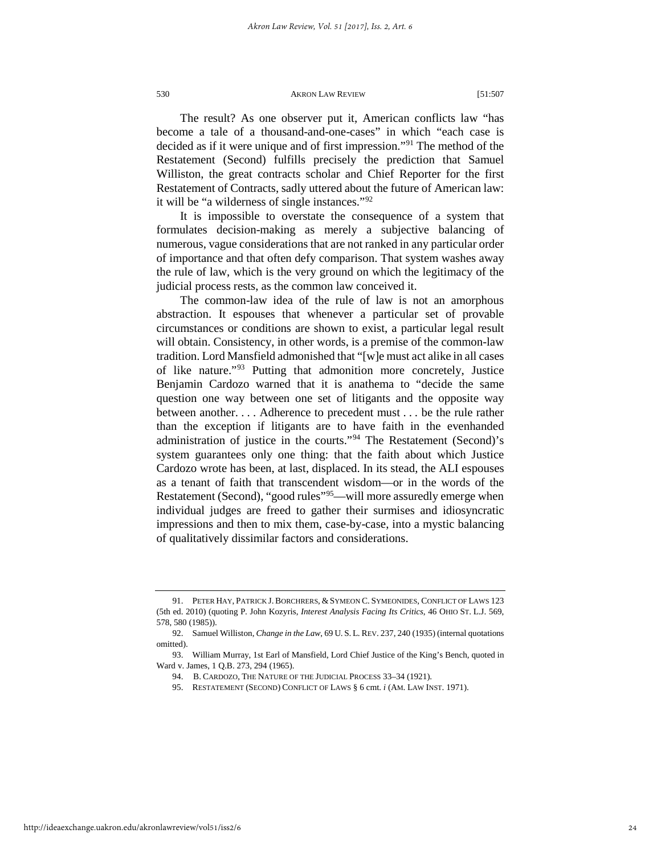The result? As one observer put it, American conflicts law "has become a tale of a thousand-and-one-cases" in which "each case is decided as if it were unique and of first impression."[91](#page-24-0) The method of the Restatement (Second) fulfills precisely the prediction that Samuel Williston, the great contracts scholar and Chief Reporter for the first Restatement of Contracts, sadly uttered about the future of American law: it will be "a wilderness of single instances."[92](#page-24-1)

It is impossible to overstate the consequence of a system that formulates decision-making as merely a subjective balancing of numerous, vague considerations that are not ranked in any particular order of importance and that often defy comparison. That system washes away the rule of law, which is the very ground on which the legitimacy of the judicial process rests, as the common law conceived it.

The common-law idea of the rule of law is not an amorphous abstraction. It espouses that whenever a particular set of provable circumstances or conditions are shown to exist, a particular legal result will obtain. Consistency, in other words, is a premise of the common-law tradition. Lord Mansfield admonished that "[w]e must act alike in all cases of like nature."[93](#page-24-2) Putting that admonition more concretely, Justice Benjamin Cardozo warned that it is anathema to "decide the same question one way between one set of litigants and the opposite way between another. . . . Adherence to precedent must . . . be the rule rather than the exception if litigants are to have faith in the evenhanded administration of justice in the courts."[94](#page-24-3) The Restatement (Second)'s system guarantees only one thing: that the faith about which Justice Cardozo wrote has been, at last, displaced. In its stead, the ALI espouses as a tenant of faith that transcendent wisdom—or in the words of the Restatement (Second), "good rules"[95](#page-24-4)—will more assuredly emerge when individual judges are freed to gather their surmises and idiosyncratic impressions and then to mix them, case-by-case, into a mystic balancing of qualitatively dissimilar factors and considerations.

<span id="page-24-0"></span><sup>91.</sup> PETER HAY, PATRICK J. BORCHRERS, &SYMEON C. SYMEONIDES, CONFLICT OF LAWS 123 (5th ed. 2010) (quoting P. John Kozyris, *Interest Analysis Facing Its Critics*, 46 OHIO ST. L.J. 569, 578, 580 (1985)).

<span id="page-24-1"></span><sup>92.</sup> Samuel Williston, *Change in the Law*, 69 U. S. L. REV. 237, 240 (1935) (internal quotations omitted).

<span id="page-24-4"></span><span id="page-24-3"></span><span id="page-24-2"></span><sup>93.</sup> William Murray, 1st Earl of Mansfield, Lord Chief Justice of the King's Bench, quoted in Ward v. James, 1 Q.B. 273, 294 (1965).

<sup>94.</sup> B. CARDOZO, THE NATURE OF THE JUDICIAL PROCESS 33–34 (1921).

<sup>95.</sup> RESTATEMENT (SECOND) CONFLICT OF LAWS § 6 cmt. *i* (AM. LAW INST. 1971).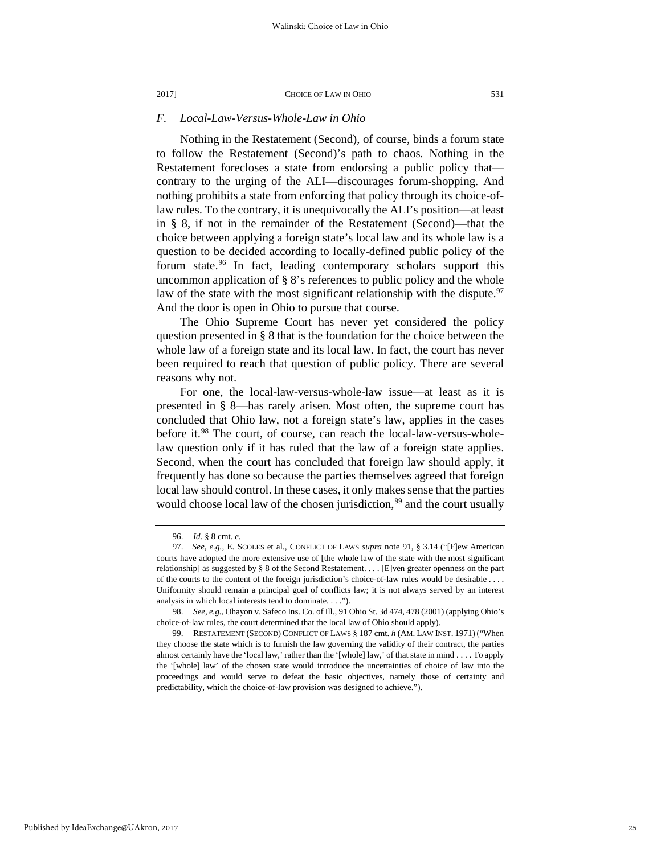#### *F. Local-Law-Versus-Whole-Law in Ohio*

Nothing in the Restatement (Second), of course, binds a forum state to follow the Restatement (Second)'s path to chaos. Nothing in the Restatement forecloses a state from endorsing a public policy that contrary to the urging of the ALI—discourages forum-shopping. And nothing prohibits a state from enforcing that policy through its choice-oflaw rules. To the contrary, it is unequivocally the ALI's position—at least in § 8, if not in the remainder of the Restatement (Second)—that the choice between applying a foreign state's local law and its whole law is a question to be decided according to locally-defined public policy of the forum state.<sup>[96](#page-25-0)</sup> In fact, leading contemporary scholars support this uncommon application of  $\S$  8's references to public policy and the whole law of the state with the most significant relationship with the dispute.<sup>[97](#page-25-1)</sup> And the door is open in Ohio to pursue that course.

The Ohio Supreme Court has never yet considered the policy question presented in § 8 that is the foundation for the choice between the whole law of a foreign state and its local law. In fact, the court has never been required to reach that question of public policy. There are several reasons why not.

For one, the local-law-versus-whole-law issue—at least as it is presented in § 8—has rarely arisen. Most often, the supreme court has concluded that Ohio law, not a foreign state's law, applies in the cases before it.<sup>[98](#page-25-2)</sup> The court, of course, can reach the local-law-versus-wholelaw question only if it has ruled that the law of a foreign state applies. Second, when the court has concluded that foreign law should apply, it frequently has done so because the parties themselves agreed that foreign local law should control. In these cases, it only makes sense that the parties would choose local law of the chosen jurisdiction,<sup>[99](#page-25-3)</sup> and the court usually

<sup>96.</sup> *Id.* § 8 cmt. *e.*

<span id="page-25-1"></span><span id="page-25-0"></span><sup>97.</sup> *See, e.g.,* E. SCOLES et al*.*, CONFLICT OF LAWS *supra* note 91, § 3.14 ("[F]ew American courts have adopted the more extensive use of [the whole law of the state with the most significant relationship] as suggested by § 8 of the Second Restatement. . . . [E]ven greater openness on the part of the courts to the content of the foreign jurisdiction's choice-of-law rules would be desirable . . . . Uniformity should remain a principal goal of conflicts law; it is not always served by an interest analysis in which local interests tend to dominate. . . .").

<span id="page-25-2"></span><sup>98.</sup> *See, e.g.,* Ohayon v. Safeco Ins. Co. of Ill., 91 Ohio St. 3d 474, 478 (2001) (applying Ohio's choice-of-law rules, the court determined that the local law of Ohio should apply).

<span id="page-25-3"></span><sup>99.</sup> RESTATEMENT (SECOND) CONFLICT OF LAWS § 187 cmt. *h* (AM. LAW INST. 1971) ("When they choose the state which is to furnish the law governing the validity of their contract, the parties almost certainly have the 'local law,' rather than the '[whole] law,' of that state in mind . . . . To apply the '[whole] law' of the chosen state would introduce the uncertainties of choice of law into the proceedings and would serve to defeat the basic objectives, namely those of certainty and predictability, which the choice-of-law provision was designed to achieve.").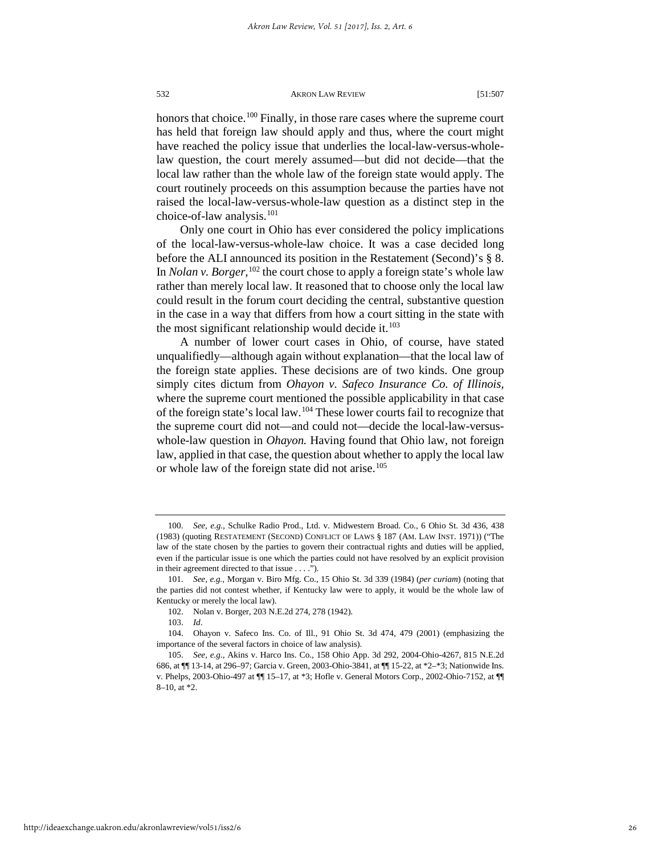honors that choice.<sup>[100](#page-26-0)</sup> Finally, in those rare cases where the supreme court has held that foreign law should apply and thus, where the court might have reached the policy issue that underlies the local-law-versus-wholelaw question, the court merely assumed—but did not decide—that the local law rather than the whole law of the foreign state would apply. The court routinely proceeds on this assumption because the parties have not raised the local-law-versus-whole-law question as a distinct step in the choice-of-law analysis.<sup>101</sup>

Only one court in Ohio has ever considered the policy implications of the local-law-versus-whole-law choice. It was a case decided long before the ALI announced its position in the Restatement (Second)'s § 8. In *Nolan v. Borger*,<sup>[102](#page-26-2)</sup> the court chose to apply a foreign state's whole law rather than merely local law. It reasoned that to choose only the local law could result in the forum court deciding the central, substantive question in the case in a way that differs from how a court sitting in the state with the most significant relationship would decide it. $103$ 

A number of lower court cases in Ohio, of course, have stated unqualifiedly—although again without explanation—that the local law of the foreign state applies. These decisions are of two kinds. One group simply cites dictum from *Ohayon v. Safeco Insurance Co. of Illinois,*  where the supreme court mentioned the possible applicability in that case of the foreign state's local law.[104](#page-26-4) These lower courts fail to recognize that the supreme court did not—and could not—decide the local-law-versuswhole-law question in *Ohayon.* Having found that Ohio law, not foreign law, applied in that case, the question about whether to apply the local law or whole law of the foreign state did not arise.<sup>[105](#page-26-5)</sup>

<span id="page-26-0"></span><sup>100.</sup> *See, e.g.,* Schulke Radio Prod., Ltd. v. Midwestern Broad. Co.*,* 6 Ohio St. 3d 436, 438 (1983) (quoting RESTATEMENT (SECOND) CONFLICT OF LAWS § 187 (AM. LAW INST. 1971)) ("The law of the state chosen by the parties to govern their contractual rights and duties will be applied, even if the particular issue is one which the parties could not have resolved by an explicit provision in their agreement directed to that issue . . . .").

<span id="page-26-1"></span><sup>101.</sup> *See, e.g.,* Morgan v. Biro Mfg. Co., 15 Ohio St. 3d 339 (1984) (*per curiam*) (noting that the parties did not contest whether, if Kentucky law were to apply, it would be the whole law of Kentucky or merely the local law).

<sup>102.</sup> Nolan v. Borger, 203 N.E.2d 274, 278 (1942).

<sup>103.</sup> *Id*.

<span id="page-26-4"></span><span id="page-26-3"></span><span id="page-26-2"></span><sup>104.</sup> Ohayon v. Safeco Ins. Co. of Ill., 91 Ohio St. 3d 474, 479 (2001) (emphasizing the importance of the several factors in choice of law analysis).

<span id="page-26-5"></span><sup>105.</sup> *See, e.g*., Akins v. Harco Ins. Co., 158 Ohio App. 3d 292, 2004-Ohio-4267, 815 N.E.2d 686, at ¶¶ 13-14, at 296–97; Garcia v. Green, 2003-Ohio-3841, at ¶¶ 15-22, at \*2–\*3; Nationwide Ins. v. Phelps, 2003-Ohio-497 at ¶¶ 15–17, at \*3; Hofle v. General Motors Corp., 2002-Ohio-7152, at ¶¶ 8–10, at \*2.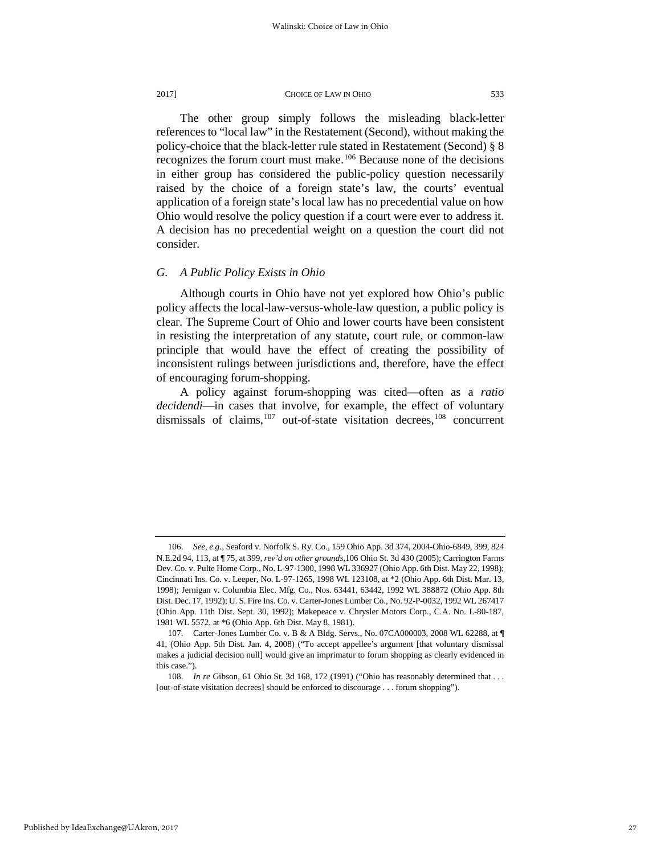The other group simply follows the misleading black-letter references to "local law" in the Restatement (Second), without making the policy-choice that the black-letter rule stated in Restatement (Second) § 8 recognizes the forum court must make.<sup>[106](#page-27-0)</sup> Because none of the decisions in either group has considered the public-policy question necessarily raised by the choice of a foreign state's law, the courts' eventual application of a foreign state's local law has no precedential value on how Ohio would resolve the policy question if a court were ever to address it. A decision has no precedential weight on a question the court did not consider.

## *G. A Public Policy Exists in Ohio*

Although courts in Ohio have not yet explored how Ohio's public policy affects the local-law-versus-whole-law question, a public policy is clear. The Supreme Court of Ohio and lower courts have been consistent in resisting the interpretation of any statute, court rule, or common-law principle that would have the effect of creating the possibility of inconsistent rulings between jurisdictions and, therefore, have the effect of encouraging forum-shopping.

A policy against forum-shopping was cited—often as a *ratio decidendi*—in cases that involve, for example, the effect of voluntary dismissals of claims, $107$  out-of-state visitation decrees, $108$  concurrent

<span id="page-27-0"></span><sup>106.</sup> *See, e.g.,* Seaford v. Norfolk S. Ry. Co., 159 Ohio App. 3d 374, 2004-Ohio-6849, 399, 824 N.E.2d 94, 113, at ¶ 75, at 399, *rev'd on other grounds,*106 Ohio St. 3d 430 (2005); Carrington Farms Dev. Co. v. Pulte Home Corp*.*, No. L-97-1300, 1998 WL 336927 (Ohio App. 6th Dist. May 22, 1998); Cincinnati Ins. Co. v. Leeper, No. L-97-1265, 1998 WL 123108, at \*2 (Ohio App. 6th Dist. Mar. 13, 1998); Jernigan v. Columbia Elec. Mfg. Co., Nos. 63441, 63442, 1992 WL 388872 (Ohio App. 8th Dist. Dec. 17, 1992); U. S. Fire Ins. Co. v. Carter-Jones Lumber Co., No. 92-P-0032, 1992 WL 267417 (Ohio App. 11th Dist. Sept. 30, 1992); Makepeace v. Chrysler Motors Corp., C.A. No. L-80-187, 1981 WL 5572, at \*6 (Ohio App. 6th Dist. May 8, 1981).

<span id="page-27-1"></span><sup>107.</sup> Carter-Jones Lumber Co. v. B & A Bldg. Servs., No. 07CA000003, 2008 WL 62288, at ¶ 41, (Ohio App. 5th Dist. Jan. 4, 2008) ("To accept appellee's argument [that voluntary dismissal makes a judicial decision null] would give an imprimatur to forum shopping as clearly evidenced in this case.").

<span id="page-27-2"></span><sup>108.</sup> *In re* Gibson, 61 Ohio St. 3d 168, 172 (1991) ("Ohio has reasonably determined that . . . [out-of-state visitation decrees] should be enforced to discourage . . . forum shopping").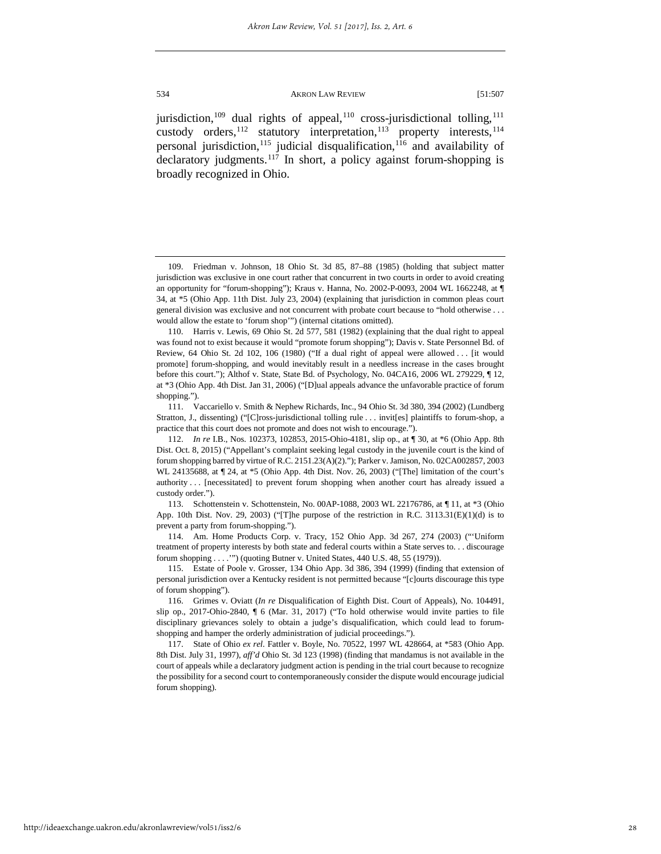jurisdiction,<sup>109</sup> dual rights of appeal,<sup>[110](#page-28-1)</sup> cross-jurisdictional tolling,<sup>[111](#page-28-2)</sup> custody orders,<sup>112</sup> statutory interpretation,<sup>[113](#page-28-4)</sup> property interests,<sup>[114](#page-28-5)</sup> personal jurisdiction,<sup>[115](#page-28-6)</sup> judicial disqualification,<sup>116</sup> and availability of declaratory judgments.<sup>[117](#page-28-8)</sup> In short, a policy against forum-shopping is broadly recognized in Ohio.

<span id="page-28-0"></span><sup>109.</sup> Friedman v. Johnson, 18 Ohio St. 3d 85, 87–88 (1985) (holding that subject matter jurisdiction was exclusive in one court rather that concurrent in two courts in order to avoid creating an opportunity for "forum-shopping"); Kraus v. Hanna, No. 2002-P-0093, 2004 WL 1662248, at ¶ 34, at \*5 (Ohio App. 11th Dist. July 23, 2004) (explaining that jurisdiction in common pleas court general division was exclusive and not concurrent with probate court because to "hold otherwise . . . would allow the estate to 'forum shop'") (internal citations omitted).

<span id="page-28-1"></span><sup>110.</sup> Harris v. Lewis, 69 Ohio St. 2d 577, 581 (1982) (explaining that the dual right to appeal was found not to exist because it would "promote forum shopping"); Davis v. State Personnel Bd. of Review, 64 Ohio St. 2d 102, 106 (1980) ("If a dual right of appeal were allowed . . . [it would promote] forum-shopping, and would inevitably result in a needless increase in the cases brought before this court."); Althof v. State, State Bd. of Psychology, No. 04CA16, 2006 WL 279229, ¶ 12, at \*3 (Ohio App. 4th Dist. Jan 31, 2006) ("[D]ual appeals advance the unfavorable practice of forum shopping.").

<span id="page-28-2"></span><sup>111.</sup> Vaccariello v. Smith & Nephew Richards, Inc., 94 Ohio St. 3d 380, 394 (2002) (Lundberg Stratton, J., dissenting) ("[C]ross-jurisdictional tolling rule . . . invit[es] plaintiffs to forum-shop, a practice that this court does not promote and does not wish to encourage.").

<span id="page-28-3"></span><sup>112.</sup> *In re* I.B., Nos. 102373, 102853, 2015-Ohio-4181, slip op., at ¶ 30, at \*6 (Ohio App. 8th Dist. Oct. 8, 2015) ("Appellant's complaint seeking legal custody in the juvenile court is the kind of forum shopping barred by virtue of R.C. 2151.23(A)(2)."); Parker v. Jamison, No. 02CA002857, 2003 WL 24135688, at ¶ 24, at \*5 (Ohio App. 4th Dist. Nov. 26, 2003) ("[The] limitation of the court's authority . . . [necessitated] to prevent forum shopping when another court has already issued a custody order.").

<span id="page-28-4"></span><sup>113.</sup> Schottenstein v. Schottenstein, No. 00AP-1088, 2003 WL 22176786, at ¶ 11, at \*3 (Ohio App. 10th Dist. Nov. 29, 2003) ("[T]he purpose of the restriction in R.C. 3113.31(E)(1)(d) is to prevent a party from forum-shopping.").

<span id="page-28-5"></span><sup>114.</sup> Am. Home Products Corp. v. Tracy, 152 Ohio App. 3d 267, 274 (2003) ("'Uniform treatment of property interests by both state and federal courts within a State serves to. . . discourage forum shopping . . . .'") (quoting Butner v. United States, 440 U.S. 48, 55 (1979)).

<span id="page-28-6"></span><sup>115.</sup> Estate of Poole v. Grosser, 134 Ohio App. 3d 386, 394 (1999) (finding that extension of personal jurisdiction over a Kentucky resident is not permitted because "[c]ourts discourage this type of forum shopping").

<span id="page-28-7"></span><sup>116.</sup> Grimes v. Oviatt (*In re* Disqualification of Eighth Dist. Court of Appeals), No. 104491, slip op., 2017-Ohio-2840, ¶ 6 (Mar. 31, 2017) ("To hold otherwise would invite parties to file disciplinary grievances solely to obtain a judge's disqualification, which could lead to forumshopping and hamper the orderly administration of judicial proceedings.").

<span id="page-28-8"></span><sup>117.</sup> State of Ohio *ex rel.* Fattler v. Boyle, No. 70522, 1997 WL 428664, at \*583 (Ohio App. 8th Dist. July 31, 1997), *aff'd* Ohio St. 3d 123 (1998) (finding that mandamus is not available in the court of appeals while a declaratory judgment action is pending in the trial court because to recognize the possibility for a second court to contemporaneously consider the dispute would encourage judicial forum shopping).